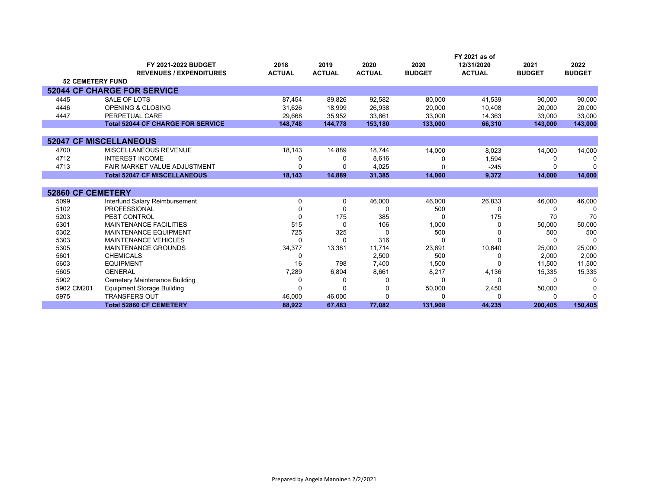|                          |                                          |               |               |               |               | FY 2021 as of |               |               |
|--------------------------|------------------------------------------|---------------|---------------|---------------|---------------|---------------|---------------|---------------|
|                          | FY 2021-2022 BUDGET                      | 2018          | 2019          | 2020          | 2020          | 12/31/2020    | 2021          | 2022          |
|                          | <b>REVENUES / EXPENDITURES</b>           | <b>ACTUAL</b> | <b>ACTUAL</b> | <b>ACTUAL</b> | <b>BUDGET</b> | <b>ACTUAL</b> | <b>BUDGET</b> | <b>BUDGET</b> |
| <b>52 CEMETERY FUND</b>  |                                          |               |               |               |               |               |               |               |
|                          | <b>52044 CF CHARGE FOR SERVICE</b>       |               |               |               |               |               |               |               |
| 4445                     | SALE OF LOTS                             | 87,454        | 89,826        | 92,582        | 80,000        | 41,539        | 90,000        | 90,000        |
| 4446                     | <b>OPENING &amp; CLOSING</b>             | 31,626        | 18,999        | 26,938        | 20,000        | 10,408        | 20,000        | 20,000        |
| 4447                     | PERPETUAL CARE                           | 29,668        | 35,952        | 33,661        | 33,000        | 14,363        | 33,000        | 33,000        |
|                          | <b>Total 52044 CF CHARGE FOR SERVICE</b> | 148.748       | 144.778       | 153,180       | 133,000       | 66,310        | 143,000       | 143,000       |
|                          |                                          |               |               |               |               |               |               |               |
|                          | <b>52047 CF MISCELLANEOUS</b>            |               |               |               |               |               |               |               |
| 4700                     | MISCELLANEOUS REVENUE                    | 18,143        | 14,889        | 18,744        | 14,000        | 8,023         | 14,000        | 14,000        |
| 4712                     | <b>INTEREST INCOME</b>                   |               | O             | 8,616         |               | 1,594         |               | n             |
| 4713                     | FAIR MARKET VALUE ADJUSTMENT             |               |               | 4,025         |               | $-245$        |               |               |
|                          | <b>Total 52047 CF MISCELLANEOUS</b>      | 18,143        | 14,889        | 31,385        | 14,000        | 9,372         | 14,000        | 14,000        |
|                          |                                          |               |               |               |               |               |               |               |
| <b>52860 CF CEMETERY</b> |                                          |               |               |               |               |               |               |               |
| 5099                     | Interfund Salary Reimbursement           | 0             | 0             | 46,000        | 46,000        | 26,833        | 46,000        | 46,000        |
| 5102                     | <b>PROFESSIONAL</b>                      |               | ŋ             | O             | 500           |               |               | 0             |
| 5203                     | PEST CONTROL                             | O             | 175           | 385           |               | 175           | 70            | 70            |
| 5301                     | <b>MAINTENANCE FACILITIES</b>            | 515           | $\Omega$      | 106           | 1,000         |               | 50,000        | 50,000        |
| 5302                     | <b>MAINTENANCE EQUIPMENT</b>             | 725           | 325           | O             | 500           |               | 500           | 500           |
| 5303                     | <b>MAINTENANCE VEHICLES</b>              | ∩             | O             | 316           |               |               |               | $\Omega$      |
| 5305                     | <b>MAINTENANCE GROUNDS</b>               | 34,377        | 13,381        | 11,714        | 23,691        | 10,640        | 25,000        | 25,000        |
| 5601                     | <b>CHEMICALS</b>                         | 0             |               | 2,500         | 500           |               | 2,000         | 2,000         |
| 5603                     | <b>EQUIPMENT</b>                         | 16            | 798           | 7,400         | 1,500         |               | 11,500        | 11,500        |
| 5605                     | <b>GENERAL</b>                           | 7,289         | 6,804         | 8,661         | 8,217         | 4,136         | 15,335        | 15,335        |
| 5902                     | Cemetery Maintenance Building            |               | O             | $\Omega$      |               |               |               | $\Omega$      |
| 5902 CM201               | <b>Equipment Storage Building</b>        |               | $\Omega$      | 0             | 50,000        | 2,450         | 50,000        | 0             |
| 5975                     | <b>TRANSFERS OUT</b>                     | 46,000        | 46,000        | $\Omega$      |               |               |               | ∩             |
|                          | <b>Total 52860 CF CEMETERY</b>           | 88.922        | 67.483        | 77,082        | 131,908       | 44.235        | 200.405       | 150,405       |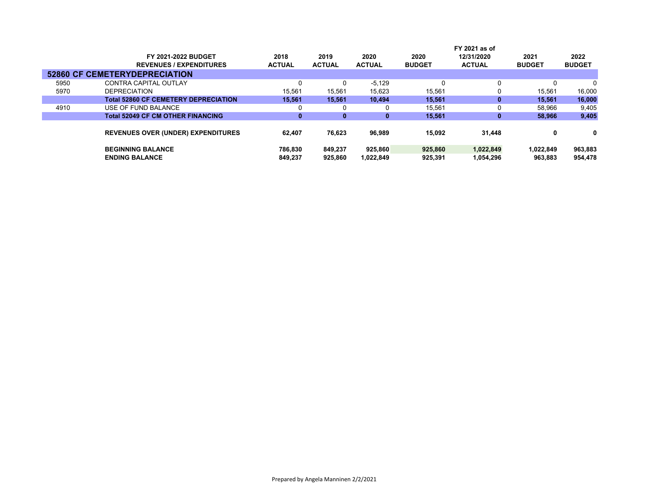| FY 2021-2022 BUDGET                         | 2018                                                                              | 2019          | 2020          | 2020          | 12/31/2020    | 2021                    | 2022          |
|---------------------------------------------|-----------------------------------------------------------------------------------|---------------|---------------|---------------|---------------|-------------------------|---------------|
| <b>REVENUES / EXPENDITURES</b>              | <b>ACTUAL</b>                                                                     | <b>ACTUAL</b> | <b>ACTUAL</b> | <b>BUDGET</b> | <b>ACTUAL</b> | <b>BUDGET</b>           | <b>BUDGET</b> |
|                                             |                                                                                   |               |               |               |               |                         |               |
| CONTRA CAPITAL OUTLAY                       | 0                                                                                 | $\Omega$      | $-5.129$      |               | 0             | 0                       | $\mathbf{0}$  |
| <b>DEPRECIATION</b>                         | 15.561                                                                            | 15.561        | 15.623        | 15,561        | 0             | 15.561                  | 16,000        |
| <b>Total 52860 CF CEMETERY DEPRECIATION</b> | 15.561                                                                            | 15.561        | 10.494        | 15.561        | 0             | 15.561                  | 16,000        |
| USE OF FUND BALANCE                         | 0                                                                                 | 0             |               | 15,561        | 0             | 58,966                  | 9,405         |
| <b>Total 52049 CF CM OTHER FINANCING</b>    | 0                                                                                 | 0             | $\mathbf 0$   | 15,561        | 0             | 58,966                  | 9,405         |
|                                             |                                                                                   |               |               |               |               |                         | 0             |
|                                             |                                                                                   |               |               |               |               |                         |               |
| <b>BEGINNING BALANCE</b>                    | 786.830                                                                           | 849.237       | 925,860       | 925.860       | 1,022,849     | 1,022,849               | 963,883       |
| <b>ENDING BALANCE</b>                       | 849.237                                                                           | 925.860       | 1,022,849     | 925,391       | 1.054.296     | 963,883                 | 954,478       |
|                                             | <b>52860 CF CEMETERYDEPRECIATION</b><br><b>REVENUES OVER (UNDER) EXPENDITURES</b> | 62.407        | 76.623        | 96,989        | 15.092        | FY 2021 as of<br>31,448 | 0             |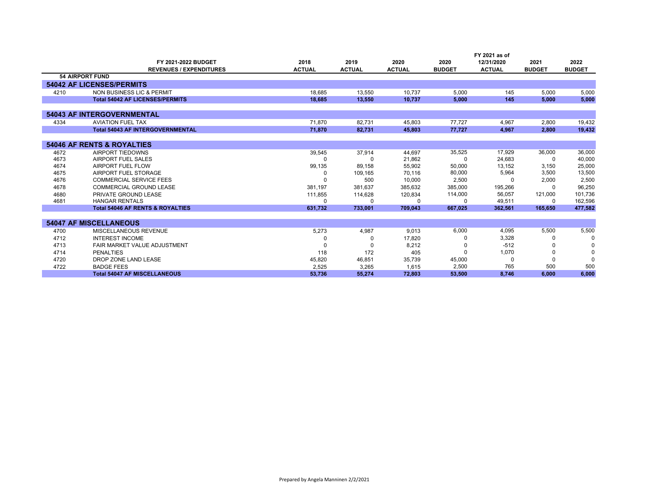|      |                                             |               |               |               |               | FY 2021 as of |               |               |
|------|---------------------------------------------|---------------|---------------|---------------|---------------|---------------|---------------|---------------|
|      | FY 2021-2022 BUDGET                         | 2018          | 2019          | 2020          | 2020          | 12/31/2020    | 2021          | 2022          |
|      | <b>REVENUES / EXPENDITURES</b>              | <b>ACTUAL</b> | <b>ACTUAL</b> | <b>ACTUAL</b> | <b>BUDGET</b> | <b>ACTUAL</b> | <b>BUDGET</b> | <b>BUDGET</b> |
|      | <b>54 AIRPORT FUND</b>                      |               |               |               |               |               |               |               |
|      | <b>54042 AF LICENSES/PERMITS</b>            |               |               |               |               |               |               |               |
| 4210 | NON BUSINESS LIC & PERMIT                   | 18,685        | 13.550        | 10.737        | 5.000         | 145           | 5,000         | 5,000         |
|      | <b>Total 54042 AF LICENSES/PERMITS</b>      | 18.685        | 13.550        | 10.737        | 5.000         | 145           | 5.000         | 5.000         |
|      |                                             |               |               |               |               |               |               |               |
|      | <b>54043 AF INTERGOVERNMENTAL</b>           |               |               |               |               |               |               |               |
| 4334 | <b>AVIATION FUEL TAX</b>                    | 71,870        | 82,731        | 45,803        | 77,727        | 4.967         | 2,800         | 19,432        |
|      | <b>Total 54043 AF INTERGOVERNMENTAL</b>     | 71,870        | 82,731        | 45,803        | 77,727        | 4,967         | 2,800         | 19,432        |
|      |                                             |               |               |               |               |               |               |               |
|      | <b>54046 AF RENTS &amp; ROYALTIES</b>       |               |               |               |               |               |               |               |
| 4672 | AIRPORT TIEDOWNS                            | 39,545        | 37.914        | 44.697        | 35,525        | 17,929        | 36,000        | 36,000        |
| 4673 | AIRPORT FUEL SALES                          |               | <sup>0</sup>  | 21,862        | $\Omega$      | 24,683        | O             | 40,000        |
| 4674 | AIRPORT FUEL FLOW                           | 99,135        | 89,158        | 55,902        | 50,000        | 13,152        | 3,150         | 25,000        |
| 4675 | AIRPORT FUEL STORAGE                        | <sup>0</sup>  | 109,165       | 70,116        | 80,000        | 5,964         | 3,500         | 13,500        |
| 4676 | <b>COMMERCIAL SERVICE FEES</b>              |               | 500           | 10.000        | 2,500         | n             | 2,000         | 2,500         |
| 4678 | COMMERCIAL GROUND LEASE                     | 381.197       | 381.637       | 385.632       | 385,000       | 195,266       |               | 96,250        |
| 4680 | PRIVATE GROUND LEASE                        | 111,855       | 114.628       | 120.834       | 114,000       | 56.057        | 121,000       | 101,736       |
| 4681 | <b>HANGAR RENTALS</b>                       | $\Omega$      | $\Omega$      |               | 0             | 49,511        | 0             | 162,596       |
|      | <b>Total 54046 AF RENTS &amp; ROYALTIES</b> | 631,732       | 733,001       | 709,043       | 667,025       | 362.561       | 165,650       | 477,582       |
|      |                                             |               |               |               |               |               |               |               |
|      | <b>54047 AF MISCELLANEOUS</b>               |               |               |               |               |               |               |               |
| 4700 | MISCELLANEOUS REVENUE                       | 5,273         | 4,987         | 9.013         | 6,000         | 4.095         | 5,500         | 5,500         |
| 4712 | <b>INTEREST INCOME</b>                      |               | 0             | 17,820        |               | 3,328         |               | $\Omega$      |
| 4713 | FAIR MARKET VALUE ADJUSTMENT                |               |               | 8,212         |               | $-512$        |               | 0             |
| 4714 | <b>PENALTIES</b>                            | 118           | 172           | 405           |               | 1,070         |               | $\Omega$      |
| 4720 | DROP ZONE LAND LEASE                        | 45,820        | 46,851        | 35,739        | 45,000        | $\Omega$      |               |               |
| 4722 | <b>BADGE FEES</b>                           | 2,525         | 3,265         | 1.615         | 2,500         | 765           | 500           | 500           |
|      | <b>Total 54047 AF MISCELLANEOUS</b>         | 53.736        | 55.274        | 72.803        | 53.500        | 8.746         | 6.000         | 6.000         |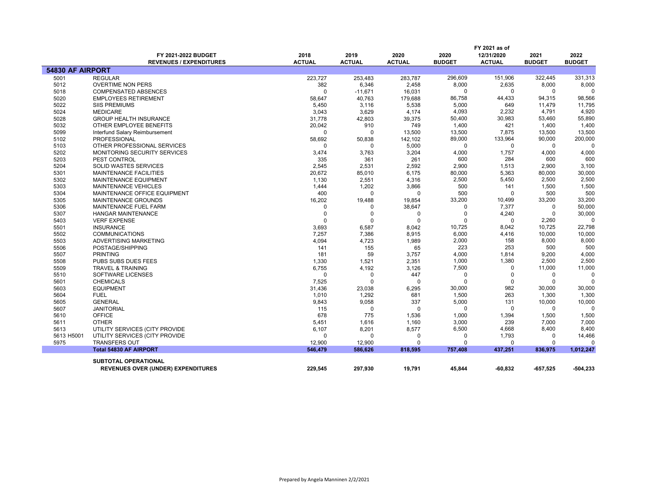|                         | FY 2021-2022 BUDGET<br><b>REVENUES / EXPENDITURES</b> | 2018<br><b>ACTUAL</b> | 2019<br><b>ACTUAL</b> | 2020<br><b>ACTUAL</b> | 2020<br><b>BUDGET</b> | FY 2021 as of<br>12/31/2020<br><b>ACTUAL</b> | 2021<br><b>BUDGET</b> | 2022<br><b>BUDGET</b> |
|-------------------------|-------------------------------------------------------|-----------------------|-----------------------|-----------------------|-----------------------|----------------------------------------------|-----------------------|-----------------------|
| <b>54830 AF AIRPORT</b> |                                                       |                       |                       |                       |                       |                                              |                       |                       |
| 5001                    | <b>REGULAR</b>                                        | 223,727               | 253,483               | 283,787               | 296,609               | 151,906                                      | 322,445               | 331,313               |
| 5012                    | <b>OVERTIME NON PERS</b>                              | 382                   | 6,346                 | 2,458                 | 8,000                 | 2,635                                        | 8,000                 | 8,000                 |
| 5018                    | <b>COMPENSATED ABSENCES</b>                           | $\Omega$              | $-11,671$             | 16,031                | $\Omega$              | 0                                            | 0                     |                       |
| 5020                    | <b>EMPLOYEES RETIREMENT</b>                           | 58,647                | 40,763                | 179,688               | 86,758                | 44,433                                       | 94,315                | 98,566                |
| 5022                    | <b>SIIS PREMIUMS</b>                                  | 5,450                 | 3,116                 | 5,538                 | 5,000                 | 649                                          | 11,479                | 11,795                |
| 5024                    | <b>MEDICARE</b>                                       | 3,043                 | 3,629                 | 4,174                 | 4,093                 | 2,232                                        | 4,791                 | 4,920                 |
| 5028                    | <b>GROUP HEALTH INSURANCE</b>                         | 31,778                | 42,803                | 39,375                | 50,400                | 30,983                                       | 53,460                | 55,890                |
| 5032                    | OTHER EMPLOYEE BENEFITS                               | 20,042                | 910                   | 749                   | 1,400                 | 421                                          | 1,400                 | 1,400                 |
| 5099                    | Interfund Salary Reimbursement                        | $\Omega$              | $\Omega$              | 13,500                | 13,500                | 7,875                                        | 13,500                | 13,500                |
| 5102                    | <b>PROFESSIONAL</b>                                   | 58,692                | 50,838                | 142,102               | 89,000                | 133,964                                      | 90,000                | 200,000               |
| 5103                    | OTHER PROFESSIONAL SERVICES                           | $\Omega$              | $\Omega$              | 5,000                 | 0                     | $\mathbf 0$                                  | $\mathbf 0$           |                       |
| 5202                    | MONITORING SECURITY SERVICES                          | 3,474                 | 3,763                 | 3,204                 | 4,000                 | 1,757                                        | 4,000                 | 4,000                 |
| 5203                    | PEST CONTROL                                          | 335                   | 361                   | 261                   | 600                   | 284                                          | 600                   | 600                   |
| 5204                    | <b>SOLID WASTES SERVICES</b>                          | 2,545                 | 2,531                 | 2,592                 | 2,900                 | 1,513                                        | 2,900                 | 3,100                 |
| 5301                    | MAINTENANCE FACILITIES                                | 20,672                | 85,010                | 6,175                 | 80,000                | 5,363                                        | 80,000                | 30,000                |
| 5302                    | MAINTENANCE EQUIPMENT                                 | 1,130                 | 2,551                 | 4,316                 | 2,500                 | 5,450                                        | 2,500                 | 2,500                 |
| 5303                    | <b>MAINTENANCE VEHICLES</b>                           | 1,444                 | 1,202                 | 3,866                 | 500                   | 141                                          | 1,500                 | 1,500                 |
| 5304                    | MAINTENANCE OFFICE EQUIPMENT                          | 400                   | $\Omega$              | $\Omega$              | 500                   | $\Omega$                                     | 500                   | 500                   |
| 5305                    | <b>MAINTENANCE GROUNDS</b>                            | 16,202                | 19,488                | 19,854                | 33,200                | 10,499                                       | 33,200                | 33,200                |
| 5306                    | MAINTENANCE FUEL FARM                                 | $\Omega$              | 0                     | 38,647                | $\Omega$              | 7,377                                        | $\Omega$              | 50,000                |
| 5307                    | <b>HANGAR MAINTENANCE</b>                             | $\Omega$              | 0                     | 0                     | $\Omega$              | 4,240                                        | $\mathbf 0$           | 30,000                |
| 5403                    | <b>VERF EXPENSE</b>                                   | $\Omega$              | $\Omega$              | $\Omega$              | $\Omega$              | $\mathbf 0$                                  | 2,260                 | $\Omega$              |
| 5501                    | <b>INSURANCE</b>                                      | 3,693                 | 6,587                 | 8,042                 | 10,725                | 8,042                                        | 10,725                | 22,798                |
| 5502                    | <b>COMMUNICATIONS</b>                                 | 7,257                 | 7,386                 | 8,915                 | 6,000                 | 4,416                                        | 10,000                | 10,000                |
| 5503                    | ADVERTISING MARKETING                                 | 4,094                 | 4,723                 | 1,989                 | 2,000                 | 158                                          | 8,000                 | 8,000                 |
| 5506                    | POSTAGE/SHIPPING                                      | 141                   | 155                   | 65                    | 223                   | 253                                          | 500                   | 500                   |
| 5507                    | <b>PRINTING</b>                                       | 181                   | 59                    | 3,757                 | 4,000                 | 1,814                                        | 9,200                 | 4,000                 |
| 5508<br>5509            | <b>PUBS SUBS DUES FEES</b>                            | 1,330                 | 1,521                 | 2,351                 | 1,000<br>7,500        | 1,380<br>$\Omega$                            | 2,500<br>11,000       | 2,500<br>11,000       |
|                         | <b>TRAVEL &amp; TRAINING</b>                          | 6,755<br>$\Omega$     | 4,192<br>$\mathbf 0$  | 3,126                 | $\Omega$              | $\Omega$                                     | 0                     | $\Omega$              |
| 5510                    | SOFTWARE LICENSES<br><b>CHEMICALS</b>                 | 7,525                 | $\Omega$              | 447<br>$\Omega$       | $\Omega$              | $\mathbf 0$                                  | $\Omega$              |                       |
| 5601<br>5603            | <b>EQUIPMENT</b>                                      | 31,436                | 23,038                | 6,295                 | 30,000                | 982                                          | 30,000                | 30,000                |
| 5604                    | <b>FUEL</b>                                           | 1,010                 | 1,292                 | 681                   | 1,500                 | 263                                          | 1,300                 | 1,300                 |
| 5605                    | <b>GENERAL</b>                                        | 9,843                 | 9,058                 | 337                   | 5,000                 | 131                                          | 10,000                | 10,000                |
| 5607                    | <b>JANITORIAL</b>                                     | 115                   | $\Omega$              | $\Omega$              | $\Omega$              | $\mathbf 0$                                  | 0                     | $\Omega$              |
| 5610                    | <b>OFFICE</b>                                         | 678                   | 775                   | 1,536                 | 1,000                 | 1,394                                        | 1,500                 | 1,500                 |
| 5611                    | <b>OTHER</b>                                          | 5,451                 | 1,616                 | 1,160                 | 3,000                 | 239                                          | 7,000                 | 7,000                 |
| 5613                    | UTILITY SERVICES (CITY PROVIDE                        | 6,107                 | 8,201                 | 8,577                 | 6,500                 | 4,668                                        | 8,400                 | 8,400                 |
| 5613 H5001              | UTILITY SERVICES (CITY PROVIDE                        | $\Omega$              | $\Omega$              | $\Omega$              | $\Omega$              | 1,793                                        | 0                     | 14,466                |
| 5975                    | <b>TRANSFERS OUT</b>                                  | 12,900                | 12,900                | $\Omega$              | $\Omega$              | $\Omega$                                     | 0                     | $\Omega$              |
|                         | <b>Total 54830 AF AIRPORT</b>                         | 546,479               | 586,626               | 818,595               | 757,408               | 437,251                                      | 836,975               | 1,012,247             |
|                         |                                                       |                       |                       |                       |                       |                                              |                       |                       |
|                         | <b>SUBTOTAL OPERATIONAL</b>                           |                       |                       |                       |                       |                                              |                       |                       |
|                         | <b>REVENUES OVER (UNDER) EXPENDITURES</b>             | 229,545               | 297,930               | 19,791                | 45,844                | -60,832                                      | -657,525              | -504,233              |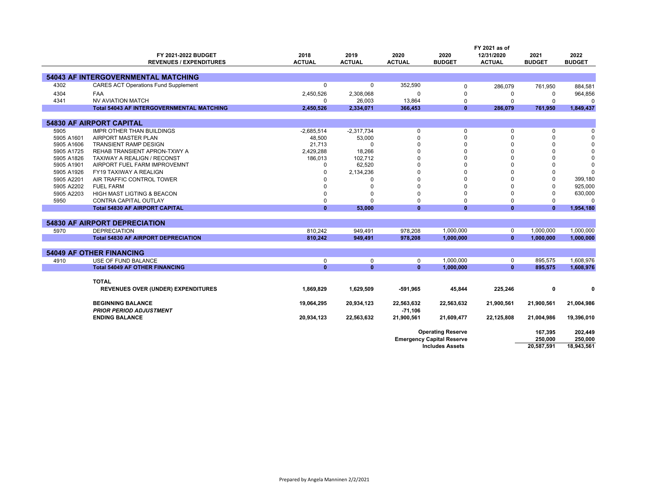|            | FY 2021 as of                                    |               |               |               |                                  |               |               |               |
|------------|--------------------------------------------------|---------------|---------------|---------------|----------------------------------|---------------|---------------|---------------|
|            | FY 2021-2022 BUDGET                              | 2018          | 2019          | 2020          | 2020                             | 12/31/2020    | 2021          | 2022          |
|            | <b>REVENUES / EXPENDITURES</b>                   | <b>ACTUAL</b> | <b>ACTUAL</b> | <b>ACTUAL</b> | <b>BUDGET</b>                    | <b>ACTUAL</b> | <b>BUDGET</b> | <b>BUDGET</b> |
|            |                                                  |               |               |               |                                  |               |               |               |
|            | <b>54043 AF INTERGOVERNMENTAL MATCHING</b>       |               |               |               |                                  |               |               |               |
| 4302       | <b>CARES ACT Operations Fund Supplement</b>      | 0             | 0             | 352,590       | 0                                | 286,079       | 761,950       | 884,581       |
| 4304       | <b>FAA</b>                                       | 2,450,526     | 2,308,068     | 0             | $\mathbf 0$                      | $\mathbf 0$   | $\Omega$      | 964,856       |
| 4341       | <b>NV AVIATION MATCH</b>                         | $\Omega$      | 26,003        | 13,864        | $\Omega$                         | $\Omega$      | $\mathbf 0$   | $\Omega$      |
|            | <b>Total 54043 AF INTERGOVERNMENTAL MATCHING</b> | 2,450,526     | 2,334,071     | 366,453       | $\mathbf{0}$                     | 286,079       | 761,950       | 1,849,437     |
|            |                                                  |               |               |               |                                  |               |               |               |
|            | <b>54830 AF AIRPORT CAPITAL</b>                  |               |               |               |                                  |               |               |               |
| 5905       | <b>IMPR OTHER THAN BUILDINGS</b>                 | $-2,685,514$  | $-2,317,734$  | $\mathbf 0$   | 0                                | 0             | $\mathbf 0$   | $\Omega$      |
| 5905 A1601 | AIRPORT MASTER PLAN                              | 48,500        | 53,000        | $\Omega$      | $\Omega$                         |               | $\Omega$      | $\Omega$      |
| 5905 A1606 | <b>TRANSIENT RAMP DESIGN</b>                     | 21,713        | 0             |               | $\Omega$                         |               | $\Omega$      | $\Omega$      |
| 5905 A1725 | REHAB TRANSIENT APRON-TXWY A                     | 2,429,288     | 18,266        | U             | $\Omega$                         |               | $\Omega$      | $\Omega$      |
| 5905 A1826 | TAXIWAY A REALIGN / RECONST                      | 186,013       | 102,712       | $\Omega$      | $\Omega$                         |               | $\Omega$      | $\Omega$      |
| 5905 A1901 | AIRPORT FUEL FARM IMPROVEMNT                     | $\Omega$      | 62,520        | $\Omega$      | $\Omega$                         |               | $\Omega$      | $\Omega$      |
| 5905 A1926 | FY19 TAXIWAY A REALIGN                           | $\Omega$      | 2,134,236     | U             | $\Omega$                         |               | $\Omega$      | $\Omega$      |
| 5905 A2201 | AIR TRAFFIC CONTROL TOWER                        |               | 0             |               | $\Omega$                         |               | $\Omega$      | 399,180       |
| 5905 A2202 | <b>FUEL FARM</b>                                 | $\Omega$      | $\Omega$      | $\Omega$      | $\Omega$                         |               | $\Omega$      | 925,000       |
| 5905 A2203 | HIGH MAST LIGTING & BEACON                       | $\Omega$      | 0             | $\Omega$      | $\Omega$                         |               | $\Omega$      | 630,000       |
| 5950       | CONTRA CAPITAL OUTLAY                            | $\mathbf 0$   | 0             | $\Omega$      | $\Omega$                         | $\Omega$      | $\Omega$      | $\Omega$      |
|            | <b>Total 54830 AF AIRPORT CAPITAL</b>            | $\mathbf{0}$  | 53,000        | $\mathbf{0}$  | $\mathbf{0}$                     | $\mathbf{0}$  | $\mathbf{0}$  | 1,954,180     |
|            |                                                  |               |               |               |                                  |               |               |               |
|            | <b>54830 AF AIRPORT DEPRECIATION</b>             |               |               |               |                                  |               |               |               |
| 5970       | <b>DEPRECIATION</b>                              | 810.242       | 949.491       | 978.208       | 1,000,000                        | 0             | 1,000,000     | 1,000,000     |
|            | <b>Total 54830 AF AIRPORT DEPRECIATION</b>       | 810,242       | 949,491       | 978,208       | 1,000,000                        | $\mathbf{0}$  | 1,000,000     | 1,000,000     |
|            |                                                  |               |               |               |                                  |               |               |               |
|            | <b>54049 AF OTHER FINANCING</b>                  |               |               |               |                                  |               |               |               |
| 4910       | USE OF FUND BALANCE                              | $\mathbf 0$   | $\mathbf 0$   | $\mathbf 0$   | 1,000,000                        | 0             | 895,575       | 1,608,976     |
|            | <b>Total 54049 AF OTHER FINANCING</b>            | $\mathbf{0}$  | $\mathbf{0}$  | $\mathbf{0}$  | 1,000,000                        | $\mathbf{0}$  | 895,575       | 1,608,976     |
|            |                                                  |               |               |               |                                  |               |               |               |
|            | <b>TOTAL</b>                                     |               |               |               |                                  |               |               |               |
|            | <b>REVENUES OVER (UNDER) EXPENDITURES</b>        | 1,869,829     | 1,629,509     | $-591,965$    | 45,844                           | 225,246       | 0             | 0             |
|            |                                                  |               |               |               |                                  |               |               |               |
|            | <b>BEGINNING BALANCE</b>                         | 19,064,295    | 20,934,123    | 22,563,632    | 22,563,632                       | 21,900,561    | 21,900,561    | 21,004,986    |
|            | <b>PRIOR PERIOD ADJUSTMENT</b>                   |               |               | $-71,106$     |                                  |               |               |               |
|            | <b>ENDING BALANCE</b>                            | 20,934,123    | 22,563,632    | 21,900,561    | 21,609,477                       | 22,125,808    | 21,004,986    | 19,396,010    |
|            |                                                  |               |               |               |                                  |               |               |               |
|            |                                                  |               |               |               | <b>Operating Reserve</b>         |               | 167,395       | 202,449       |
|            |                                                  |               |               |               | <b>Emergency Capital Reserve</b> |               | 250,000       | 250,000       |
|            |                                                  |               |               |               | <b>Includes Assets</b>           |               | 20,587,591    | 18,943,561    |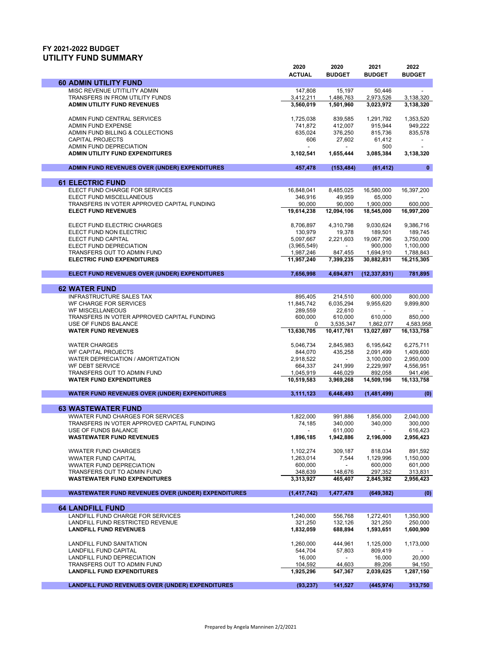## **FY 2021-2022 BUDGET UTILITY FUND SUMMARY**

|                                                                  | 2020<br><b>ACTUAL</b>    | 2020<br><b>BUDGET</b>    | 2021<br><b>BUDGET</b>   | 2022<br><b>BUDGET</b>   |
|------------------------------------------------------------------|--------------------------|--------------------------|-------------------------|-------------------------|
| <b>60 ADMIN UTILITY FUND</b>                                     |                          |                          |                         |                         |
| MISC REVENUE UTITILITY ADMIN                                     | 147,808                  | 15,197                   | 50,446                  |                         |
| TRANSFERS IN FROM UTILITY FUNDS                                  | 3,412,211                | 1,486,763                | 2,973,526               | 3,138,320               |
| ADMIN UTILITY FUND REVENUES                                      | 3,560,019                | 1.501.960                | 3,023,972               | 3,138,320               |
| ADMIN FUND CENTRAL SERVICES                                      | 1,725,038                | 839,585                  | 1,291,792               | 1,353,520               |
| <b>ADMIN FUND EXPENSE</b>                                        | 741,872                  | 412,007                  | 915,944                 | 949,222                 |
| ADMIN FUND BILLING & COLLECTIONS                                 | 635,024                  | 376,250                  | 815,736                 | 835,578                 |
| <b>CAPITAL PROJECTS</b>                                          | 606                      | 27,602                   | 61,412                  |                         |
| ADMIN FUND DEPRECIATION                                          |                          |                          | 500                     |                         |
| <b>ADMIN UTILITY FUND EXPENDITURES</b>                           | 3,102,541                | 1,655,444                | 3,085,384               | 3,138,320               |
| ADMIN FUND REVENUES OVER (UNDER) EXPENDITURES                    | 457.478                  | (153, 484)               | (61, 412)               | $\bf{0}$                |
| <b>61 ELECTRIC FUND</b>                                          |                          |                          |                         |                         |
| ELECT FUND CHARGE FOR SERVICES                                   | 16,848,041               | 8,485,025                | 16,580,000              | 16,397,200              |
| ELECT FUND MISCELLANEOUS                                         | 346,916                  | 49,959                   | 65,000                  |                         |
| TRANSFERS IN VOTER APPROVED CAPITAL FUNDING                      | 90,000                   | 90,000                   | 1,900,000               | 600,000                 |
| <b>ELECT FUND REVENUES</b>                                       | 19,614,238               | 12,094,106               | 18,545,000              | 16,997,200              |
|                                                                  |                          |                          |                         |                         |
| ELECT FUND ELECTRIC CHARGES                                      | 8,706,897                | 4,310,798                | 9,030,624               | 9,386,716               |
| ELECT FUND NON ELECTRIC                                          | 130,979                  | 19,378                   | 189,501                 | 189,745                 |
| ELECT FUND CAPITAL                                               | 5,097,667                | 2,221,603                | 19,067,796              | 3,750,000               |
| ELECT FUND DEPRECIATION                                          | (3,965,549)<br>1,987,246 |                          | 900,000                 | 1,100,000               |
| TRANSFERS OUT TO ADMIN FUND<br><b>ELECTRIC FUND EXPENDITURES</b> | 11,957,240               | 847,455<br>7,399,235     | 1,694,910<br>30.882.831 | 1,788,843<br>16,215,305 |
|                                                                  |                          |                          |                         |                         |
| ELECT FUND REVENUES OVER (UNDER) EXPENDITURES                    | 7,656,998                | 4,694,871                | (12, 337, 831)          | 781,895                 |
| <b>62 WATER FUND</b>                                             |                          |                          |                         |                         |
| <b>INFRASTRUCTURE SALES TAX</b>                                  | 895,405                  | 214,510                  | 600.000                 | 800,000                 |
| WF CHARGE FOR SERVICES                                           | 11,845,742               | 6,035,294                | 9,955,620               | 9,899,800               |
| <b>WF MISCELLANEOUS</b>                                          | 289,559                  | 22,610                   |                         |                         |
| TRANSFERS IN VOTER APPROVED CAPITAL FUNDING                      | 600,000                  | 610,000                  | 610,000                 | 850,000                 |
| USE OF FUNDS BALANCE                                             | 0                        | 3,535,347                | 1,862,077               | 4,583,958               |
| <b>WATER FUND REVENUES</b>                                       | 13,630,705               | 10,417,761               | 13,027,697              | 16,133,758              |
| <b>WATER CHARGES</b>                                             | 5,046,734                | 2,845,983                | 6,195,642               | 6,275,711               |
| WF CAPITAL PROJECTS                                              | 844,070                  | 435,258                  | 2,091,499               | 1,409,600               |
| WATER DEPRECIATION / AMORTIZATION                                | 2,918,522                | $\overline{\phantom{a}}$ | 3,100,000               | 2,950,000               |
| WF DEBT SERVICE                                                  | 664,337                  | 241,999                  | 2,229,997               | 4,556,951               |
| TRANSFERS OUT TO ADMIN FUND                                      | 1,045,919                | 446,029                  | 892,058                 | 941,496                 |
| <b>WATER FUND EXPENDITURES</b>                                   | 10,519,583               | 3,969,268                | 14,509,196              | 16,133,758              |
| <b>WATER FUND REVENUES OVER (UNDER) EXPENDITURES</b>             | 3,111,123                | 6,448,493                | (1,481,499)             | (0)                     |
| <b>63 WASTEWATER FUND</b>                                        |                          |                          |                         |                         |
| <b>WWATER FUND CHARGES FOR SERVICES</b>                          | 1,822,000                | 991,886                  | 1,856,000               | 2,040,000               |
| TRANSFERS IN VOTER APPROVED CAPITAL FUNDING                      | 74,185                   | 340,000                  | 340,000                 | 300,000                 |
| USE OF FUNDS BALANCE                                             |                          | 611,000                  |                         | 616,423                 |
| <b>WASTEWATER FUND REVENUES</b>                                  | 1,896,185                | 1,942,886                | 2,196,000               | 2,956,423               |
|                                                                  |                          | 309.187                  |                         |                         |
| <b>WWATER FUND CHARGES</b><br><b>WWATER FUND CAPITAL</b>         | 1,102,274<br>1,263,014   |                          | 818.034<br>1,129,996    | 891,592<br>1,150,000    |
| <b>WWATER FUND DEPRECIATION</b>                                  | 600,000                  | 7,544                    | 600,000                 | 601,000                 |
| TRANSFERS OUT TO ADMIN FUND                                      | 348,639                  | 148,676                  | 297,352                 | 313,831                 |
| <b>WASTEWATER FUND EXPENDITURES</b>                              | 3,313,927                | 465,407                  | 2,845,382               | 2,956,423               |
|                                                                  |                          |                          | (649, 382)              |                         |
| <b>WASTEWATER FUND REVENUES OVER (UNDER) EXPENDITURES</b>        | (1, 417, 742)            | 1,477,478                |                         | (0)                     |
| <b>64 LANDFILL FUND</b>                                          |                          |                          |                         |                         |
| LANDFILL FUND CHARGE FOR SERVICES                                | 1,240,000                | 556,768                  | 1,272,401               | 1,350,900               |
| LANDFILL FUND RESTRICTED REVENUE                                 | 321,250                  | 132,126                  | 321,250                 | 250,000                 |
| <b>LANDFILL FUND REVENUES</b>                                    | 1,832,059                | 688,894                  | 1,593,651               | 1,600,900               |
| LANDFILL FUND SANITATION                                         | 1,260,000                | 444,961                  | 1,125,000               | 1,173,000               |
| LANDFILL FUND CAPITAL                                            | 544,704                  | 57,803                   | 809,419                 |                         |
| LANDFILL FUND DEPRECIATION                                       | 16,000                   |                          | 16,000                  | 20,000                  |
| TRANSFERS OUT TO ADMIN FUND                                      | 104,592                  | 44,603                   | 89,206                  | 94,150                  |
| <b>LANDFILL FUND EXPENDITURES</b>                                | 1,925,296                | 547,367                  | 2,039,625               | 1,287,150               |
| <b>LANDFILL FUND REVENUES OVER (UNDER) EXPENDITURES</b>          | (93, 237)                | 141,527                  | (445, 974)              | 313,750                 |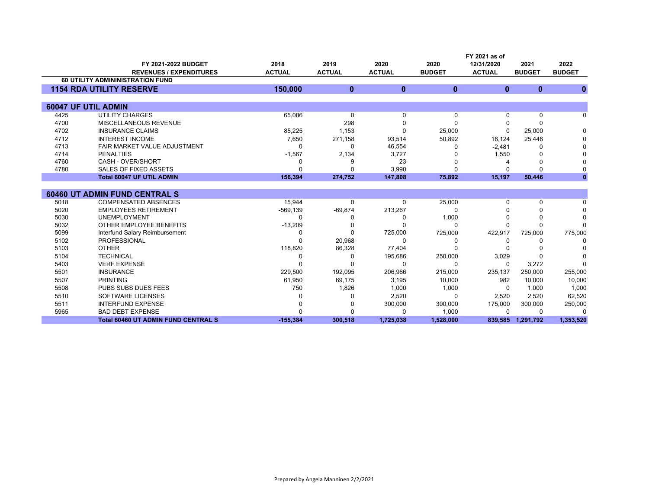|      | FY 2021 as of                                         |                       |                       |                       |                       |                             |                       |                       |
|------|-------------------------------------------------------|-----------------------|-----------------------|-----------------------|-----------------------|-----------------------------|-----------------------|-----------------------|
|      | FY 2021-2022 BUDGET<br><b>REVENUES / EXPENDITURES</b> | 2018<br><b>ACTUAL</b> | 2019<br><b>ACTUAL</b> | 2020<br><b>ACTUAL</b> | 2020<br><b>BUDGET</b> | 12/31/2020<br><b>ACTUAL</b> | 2021<br><b>BUDGET</b> | 2022<br><b>BUDGET</b> |
|      | <b>60 UTILITY ADMININISTRATION FUND</b>               |                       |                       |                       |                       |                             |                       |                       |
|      | <b>1154 RDA UTILITY RESERVE</b>                       | 150,000               | $\mathbf{0}$          | $\mathbf{0}$          | $\mathbf{0}$          | $\mathbf{0}$                | $\bf{0}$              | $\bf{0}$              |
|      |                                                       |                       |                       |                       |                       |                             |                       |                       |
|      | 60047 UF UTIL ADMIN                                   |                       |                       |                       |                       |                             |                       |                       |
| 4425 | <b>UTILITY CHARGES</b>                                | 65,086                | 0                     | $\Omega$              | $\Omega$              | 0                           | 0                     | 0                     |
| 4700 | MISCELLANEOUS REVENUE                                 |                       | 298                   | n                     | $\Omega$              |                             | 0                     |                       |
| 4702 | <b>INSURANCE CLAIMS</b>                               | 85,225                | 1,153                 | ∩                     | 25,000                | 0                           | 25,000                | $\Omega$              |
| 4712 | <b>INTEREST INCOME</b>                                | 7,650                 | 271,158               | 93,514                | 50,892                | 16,124                      | 25,446                |                       |
| 4713 | FAIR MARKET VALUE ADJUSTMENT                          | $\Omega$              | ∩                     | 46,554                |                       | $-2,481$                    | 0                     |                       |
| 4714 | <b>PENALTIES</b>                                      | $-1,567$              | 2,134                 | 3,727                 |                       | 1,550                       | 0                     |                       |
| 4760 | CASH - OVER/SHORT                                     | ŋ                     |                       | 23                    |                       |                             | 0                     |                       |
| 4780 | <b>SALES OF FIXED ASSETS</b>                          | O                     |                       | 3,990                 | ŋ                     | U                           | $\Omega$              |                       |
|      | <b>Total 60047 UF UTIL ADMIN</b>                      | 156,394               | 274,752               | 147,808               | 75,892                | 15,197                      | 50,446                |                       |
|      |                                                       |                       |                       |                       |                       |                             |                       |                       |
|      | <b>60460 UT ADMIN FUND CENTRAL S</b>                  |                       |                       |                       |                       |                             |                       |                       |
| 5018 | <b>COMPENSATED ABSENCES</b>                           | 15,944                | $\Omega$              | $\Omega$              | 25,000                | U                           | 0                     | n                     |
| 5020 | <b>EMPLOYEES RETIREMENT</b>                           | $-569, 139$           | $-69,874$             | 213,267               | ∩                     |                             | $\Omega$              |                       |
| 5030 | <b>UNEMPLOYMENT</b>                                   |                       |                       |                       | 1,000                 |                             | 0                     | $\Omega$              |
| 5032 | OTHER EMPLOYEE BENEFITS                               | $-13,209$             |                       |                       | ∩                     |                             | $\Omega$              |                       |
| 5099 | Interfund Salary Reimbursement                        | O                     | ∩                     | 725,000               | 725,000               | 422,917                     | 725,000               | 775,000               |
| 5102 | <b>PROFESSIONAL</b>                                   | ∩                     | 20,968                | $\Omega$              | O                     | 0                           | 0                     | <sup>0</sup>          |
| 5103 | <b>OTHER</b>                                          | 118,820               | 86,328                | 77,404                |                       |                             |                       |                       |
| 5104 | <b>TECHNICAL</b>                                      | O                     | ∩                     | 195,686               | 250,000               | 3,029                       | 0                     |                       |
| 5403 | <b>VERF EXPENSE</b>                                   | O                     |                       | $\Omega$              | ∩                     | $\Omega$                    | 3,272                 | ∩                     |
| 5501 | <b>INSURANCE</b>                                      | 229,500               | 192,095               | 206,966               | 215,000               | 235,137                     | 250,000               | 255,000               |
| 5507 | <b>PRINTING</b>                                       | 61,950                | 69,175                | 3,195                 | 10,000                | 982                         | 10,000                | 10,000                |
| 5508 | <b>PUBS SUBS DUES FEES</b>                            | 750                   | 1,826                 | 1,000                 | 1,000                 | $\Omega$                    | 1,000                 | 1,000                 |
| 5510 | SOFTWARE LICENSES                                     |                       |                       | 2,520                 | $\Omega$              | 2,520                       | 2,520                 | 62,520                |
| 5511 | <b>INTERFUND EXPENSE</b>                              |                       |                       | 300,000               | 300,000               | 175,000                     | 300,000               | 250,000               |
| 5965 | <b>BAD DEBT EXPENSE</b>                               |                       |                       | ∩                     | 1,000                 | 0                           | 0                     | $\Omega$              |
|      | <b>Total 60460 UT ADMIN FUND CENTRAL S</b>            | $-155,384$            | 300,518               | 1,725,038             | 1,528,000             | 839,585                     | 1,291,792             | 1,353,520             |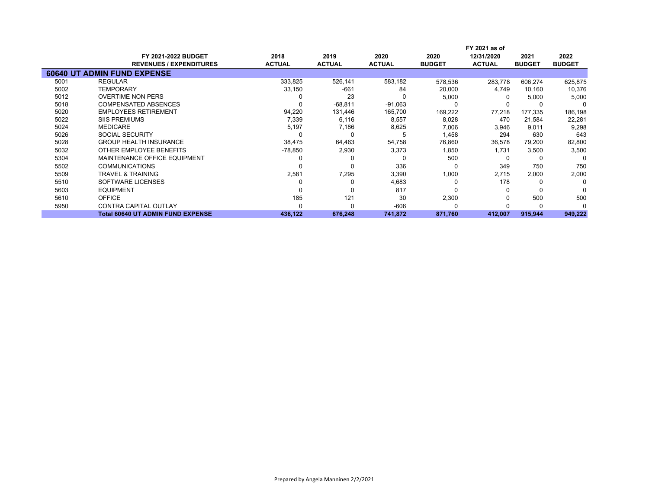|      |                                          |               |               |               | FY 2021 as of |               |               |               |
|------|------------------------------------------|---------------|---------------|---------------|---------------|---------------|---------------|---------------|
|      | <b>FY 2021-2022 BUDGET</b>               | 2018          | 2019          | 2020          | 2020          | 12/31/2020    | 2021          | 2022          |
|      | <b>REVENUES / EXPENDITURES</b>           | <b>ACTUAL</b> | <b>ACTUAL</b> | <b>ACTUAL</b> | <b>BUDGET</b> | <b>ACTUAL</b> | <b>BUDGET</b> | <b>BUDGET</b> |
|      | <b>60640 UT ADMIN FUND EXPENSE</b>       |               |               |               |               |               |               |               |
| 5001 | <b>REGULAR</b>                           | 333,825       | 526,141       | 583,182       | 578,536       | 283.778       | 606,274       | 625,875       |
| 5002 | <b>TEMPORARY</b>                         | 33,150        | $-661$        | 84            | 20,000        | 4,749         | 10,160        | 10,376        |
| 5012 | <b>OVERTIME NON PERS</b>                 |               | 23            |               | 5,000         |               | 5,000         | 5,000         |
| 5018 | <b>COMPENSATED ABSENCES</b>              |               | $-68,811$     | $-91,063$     |               |               |               |               |
| 5020 | <b>EMPLOYEES RETIREMENT</b>              | 94,220        | 131,446       | 165,700       | 169,222       | 77,218        | 177,335       | 186,198       |
| 5022 | <b>SIIS PREMIUMS</b>                     | 7,339         | 6,116         | 8,557         | 8,028         | 470           | 21,584        | 22,281        |
| 5024 | <b>MEDICARE</b>                          | 5,197         | 7,186         | 8,625         | 7,006         | 3,946         | 9,011         | 9,298         |
| 5026 | SOCIAL SECURITY                          |               |               |               | 1,458         | 294           | 630           | 643           |
| 5028 | <b>GROUP HEALTH INSURANCE</b>            | 38,475        | 64,463        | 54,758        | 76,860        | 36,578        | 79,200        | 82,800        |
| 5032 | OTHER EMPLOYEE BENEFITS                  | $-78,850$     | 2,930         | 3,373         | 1,850         | 1,731         | 3,500         | 3,500         |
| 5304 | MAINTENANCE OFFICE EQUIPMENT             |               |               |               | 500           | 0             | 0             | C             |
| 5502 | <b>COMMUNICATIONS</b>                    |               | 0             | 336           |               | 349           | 750           | 750           |
| 5509 | <b>TRAVEL &amp; TRAINING</b>             | 2,581         | 7,295         | 3,390         | 1,000         | 2,715         | 2,000         | 2,000         |
| 5510 | SOFTWARE LICENSES                        |               |               | 4,683         |               | 178           | 0             | 0             |
| 5603 | <b>EQUIPMENT</b>                         |               |               | 817           |               | 0             | 0             |               |
| 5610 | <b>OFFICE</b>                            | 185           | 121           | 30            | 2,300         |               | 500           | 500           |
| 5950 | <b>CONTRA CAPITAL OUTLAY</b>             |               |               | $-606$        |               |               | 0             |               |
|      | <b>Total 60640 UT ADMIN FUND EXPENSE</b> | 436,122       | 676,248       | 741,872       | 871,760       | 412,007       | 915,944       | 949,222       |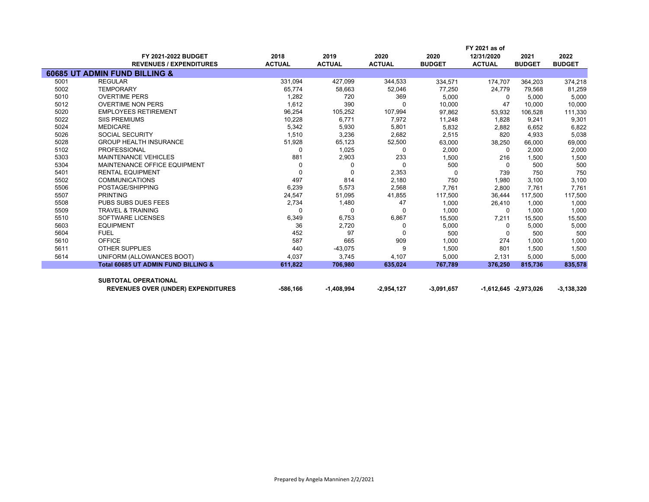|      |                                                |               |               |               |               | FY 2021 as of |                           |               |
|------|------------------------------------------------|---------------|---------------|---------------|---------------|---------------|---------------------------|---------------|
|      | <b>FY 2021-2022 BUDGET</b>                     | 2018          | 2019          | 2020          | 2020          | 12/31/2020    | 2021                      | 2022          |
|      | <b>REVENUES / EXPENDITURES</b>                 | <b>ACTUAL</b> | <b>ACTUAL</b> | <b>ACTUAL</b> | <b>BUDGET</b> | <b>ACTUAL</b> | <b>BUDGET</b>             | <b>BUDGET</b> |
|      | 60685 UT ADMIN FUND BILLING &                  |               |               |               |               |               |                           |               |
| 5001 | <b>REGULAR</b>                                 | 331,094       | 427,099       | 344,533       | 334,571       | 174,707       | 364,203                   | 374,218       |
| 5002 | <b>TEMPORARY</b>                               | 65,774        | 58,663        | 52,046        | 77,250        | 24,779        | 79,568                    | 81,259        |
| 5010 | <b>OVERTIME PERS</b>                           | 1,282         | 720           | 369           | 5.000         | $\Omega$      | 5,000                     | 5,000         |
| 5012 | <b>OVERTIME NON PERS</b>                       | 1,612         | 390           | $\Omega$      | 10,000        | 47            | 10,000                    | 10,000        |
| 5020 | <b>EMPLOYEES RETIREMENT</b>                    | 96,254        | 105,252       | 107,994       | 97,862        | 53,932        | 106,528                   | 111,330       |
| 5022 | <b>SIIS PREMIUMS</b>                           | 10,228        | 6,771         | 7,972         | 11,248        | 1,828         | 9,241                     | 9,301         |
| 5024 | <b>MEDICARE</b>                                | 5,342         | 5,930         | 5,801         | 5,832         | 2,882         | 6,652                     | 6,822         |
| 5026 | <b>SOCIAL SECURITY</b>                         | 1,510         | 3,236         | 2,682         | 2,515         | 820           | 4,933                     | 5,038         |
| 5028 | <b>GROUP HEALTH INSURANCE</b>                  | 51,928        | 65,123        | 52,500        | 63,000        | 38,250        | 66,000                    | 69,000        |
| 5102 | <b>PROFESSIONAL</b>                            | 0             | 1,025         | 0             | 2,000         | $\Omega$      | 2,000                     | 2,000         |
| 5303 | <b>MAINTENANCE VEHICLES</b>                    | 881           | 2,903         | 233           | 1,500         | 216           | 1,500                     | 1,500         |
| 5304 | MAINTENANCE OFFICE EQUIPMENT                   | $\Omega$      | $\Omega$      | $\Omega$      | 500           | $\Omega$      | 500                       | 500           |
| 5401 | <b>RENTAL EQUIPMENT</b>                        | $\Omega$      | $\Omega$      | 2,353         | $\Omega$      | 739           | 750                       | 750           |
| 5502 | <b>COMMUNICATIONS</b>                          | 497           | 814           | 2,180         | 750           | 1,980         | 3,100                     | 3,100         |
| 5506 | POSTAGE/SHIPPING                               | 6,239         | 5,573         | 2,568         | 7,761         | 2,800         | 7,761                     | 7,761         |
| 5507 | <b>PRINTING</b>                                | 24,547        | 51,095        | 41,855        | 117,500       | 36,444        | 117,500                   | 117,500       |
| 5508 | <b>PUBS SUBS DUES FEES</b>                     | 2,734         | 1,480         | 47            | 1,000         | 26,410        | 1.000                     | 1,000         |
| 5509 | <b>TRAVEL &amp; TRAINING</b>                   | 0             | $\Omega$      | $\Omega$      | 1,000         | $\Omega$      | 1,000                     | 1,000         |
| 5510 | SOFTWARE LICENSES                              | 6,349         | 6,753         | 6,867         | 15,500        | 7,211         | 15,500                    | 15,500        |
| 5603 | <b>EQUIPMENT</b>                               | 36            | 2,720         | $\Omega$      | 5,000         | $\Omega$      | 5,000                     | 5,000         |
| 5604 | <b>FUEL</b>                                    | 452           | 97            | <sup>0</sup>  | 500           | 0             | 500                       | 500           |
| 5610 | <b>OFFICE</b>                                  | 587           | 665           | 909           | 1,000         | 274           | 1,000                     | 1,000         |
| 5611 | <b>OTHER SUPPLIES</b>                          | 440           | $-43,075$     | 9             | 1,500         | 801           | 1,500                     | 1,500         |
| 5614 | UNIFORM (ALLOWANCES BOOT)                      | 4,037         | 3,745         | 4,107         | 5,000         | 2,131         | 5,000                     | 5,000         |
|      | <b>Total 60685 UT ADMIN FUND BILLING &amp;</b> | 611,822       | 706,980       | 635,024       | 767,789       | 376,250       | 815,736                   | 835,578       |
|      |                                                |               |               |               |               |               |                           |               |
|      | <b>SUBTOTAL OPERATIONAL</b>                    |               |               |               |               |               |                           |               |
|      | <b>REVENUES OVER (UNDER) EXPENDITURES</b>      | -586.166      | $-1,408,994$  | $-2,954,127$  | $-3,091,657$  |               | $-1,612,645$ $-2,973,026$ | $-3,138,320$  |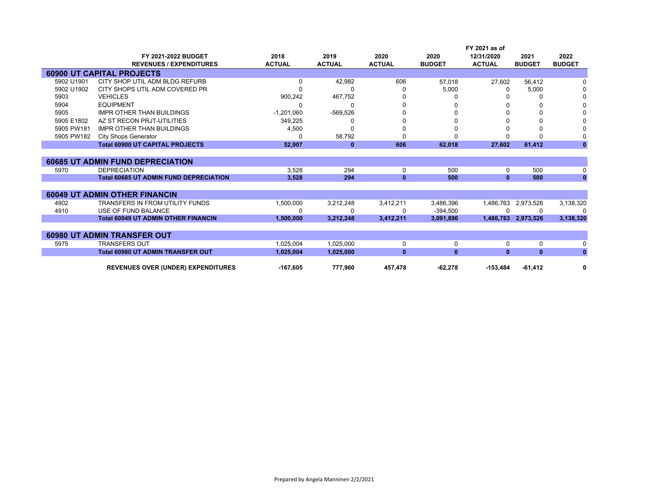|            |                                               |               |               |               | FY 2021 as of |               |                     |               |
|------------|-----------------------------------------------|---------------|---------------|---------------|---------------|---------------|---------------------|---------------|
|            | <b>FY 2021-2022 BUDGET</b>                    | 2018          | 2019          | 2020          | 2020          | 12/31/2020    | 2021                | 2022          |
|            | <b>REVENUES / EXPENDITURES</b>                | <b>ACTUAL</b> | <b>ACTUAL</b> | <b>ACTUAL</b> | <b>BUDGET</b> | <b>ACTUAL</b> | <b>BUDGET</b>       | <b>BUDGET</b> |
|            | <b>60900 UT CAPITAL PROJECTS</b>              |               |               |               |               |               |                     |               |
| 5902 U1901 | CITY SHOP UTIL ADM BLDG REFURB                | 0             | 42,982        | 606           | 57.018        | 27,602        | 56,412              |               |
| 5902 U1902 | CITY SHOPS UTIL ADM COVERED PR                |               | 0             |               | 5,000         | 0             | 5,000               |               |
| 5903       | <b>VEHICLES</b>                               | 900,242       | 467,752       |               |               |               | 0                   |               |
| 5904       | <b>EQUIPMENT</b>                              | 0             | 0             |               |               |               | 0                   |               |
| 5905       | <b>IMPR OTHER THAN BUILDINGS</b>              | $-1,201,060$  | $-569,526$    |               |               |               | 0                   |               |
| 5905 E1802 | AZ ST RECON PRJT-UTILITIES                    | 349,225       | 0             |               |               |               | 0                   |               |
| 5905 PW181 | <b>IMPR OTHER THAN BUILDINGS</b>              | 4,500         | O             |               |               |               | 0                   |               |
| 5905 PW182 | <b>City Shops Generator</b>                   | 0             | 58,792        |               |               |               | <sup>0</sup>        |               |
|            | <b>Total 60900 UT CAPITAL PROJECTS</b>        | 52,907        | $\bf{0}$      | 606           | 62,018        | 27,602        | 61,412              | $\mathbf{0}$  |
|            |                                               |               |               |               |               |               |                     |               |
|            | <b>60685 UT ADMIN FUND DEPRECIATION</b>       |               |               |               |               |               |                     |               |
| 5970       | <b>DEPRECIATION</b>                           | 3,528         | 294           | 0             | 500           | 0             | 500                 | 0             |
|            | <b>Total 60685 UT ADMIN FUND DEPRECIATION</b> | 3.528         | 294           | $\bf{0}$      | 500           | $\mathbf{0}$  | 500                 | $\mathbf{0}$  |
|            |                                               |               |               |               |               |               |                     |               |
|            | <b>60049 UT ADMIN OTHER FINANCIN</b>          |               |               |               |               |               |                     |               |
| 4902       | <b>TRANSFERS IN FROM UTILITY FUNDS</b>        | 1,500,000     | 3,212,248     | 3,412,211     | 3,486,396     | 1,486,763     | 2,973,526           | 3,138,320     |
| 4910       | USE OF FUND BALANCE                           | n             | 0             | n             | $-394.500$    |               | 0                   | <sup>n</sup>  |
|            | <b>Total 60049 UT ADMIN OTHER FINANCIN</b>    | 1,500,000     | 3,212,248     | 3,412,211     | 3,091,896     |               | 1,486,763 2,973,526 | 3,138,320     |
|            |                                               |               |               |               |               |               |                     |               |
|            | <b>60980 UT ADMIN TRANSFER OUT</b>            |               |               |               |               |               |                     |               |
| 5975       | <b>TRANSFERS OUT</b>                          | 1,025,004     | 1,025,000     | 0             | 0             | 0             | 0                   | 0             |
|            | <b>Total 60980 UT ADMIN TRANSFER OUT</b>      | 1,025,004     | 1,025,000     | $\bf{0}$      | $\mathbf{0}$  | $\mathbf{0}$  | $\mathbf{0}$        | $\mathbf{0}$  |
|            |                                               |               |               |               |               |               |                     |               |
|            | <b>REVENUES OVER (UNDER) EXPENDITURES</b>     | $-167,605$    | 777,960       | 457,478       | $-62,278$     | $-153,484$    | $-61,412$           | 0             |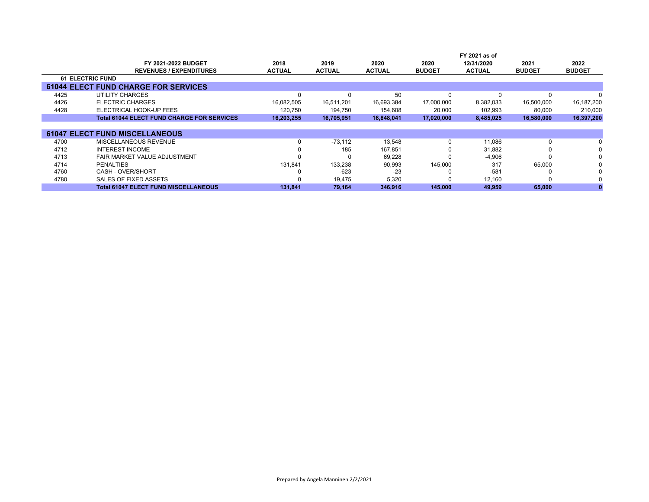|      |                                                   |               |               |               |               | FY 2021 as of |               |               |
|------|---------------------------------------------------|---------------|---------------|---------------|---------------|---------------|---------------|---------------|
|      | <b>FY 2021-2022 BUDGET</b>                        | 2018          | 2019          | 2020          | 2020          | 12/31/2020    | 2021          | 2022          |
|      | <b>REVENUES / EXPENDITURES</b>                    | <b>ACTUAL</b> | <b>ACTUAL</b> | <b>ACTUAL</b> | <b>BUDGET</b> | <b>ACTUAL</b> | <b>BUDGET</b> | <b>BUDGET</b> |
|      | <b>61 ELECTRIC FUND</b>                           |               |               |               |               |               |               |               |
|      | <b>61044 ELECT FUND CHARGE FOR SERVICES</b>       |               |               |               |               |               |               |               |
| 4425 | UTILITY CHARGES                                   | $\Omega$      |               | 50            | 0             |               | <sup>0</sup>  |               |
| 4426 | <b>ELECTRIC CHARGES</b>                           | 16,082,505    | 16,511,201    | 16,693,384    | 17,000,000    | 8,382,033     | 16,500,000    | 16,187,200    |
| 4428 | ELECTRICAL HOOK-UP FEES                           | 120,750       | 194,750       | 154,608       | 20,000        | 102,993       | 80,000        | 210,000       |
|      | <b>Total 61044 ELECT FUND CHARGE FOR SERVICES</b> | 16,203,255    | 16,705,951    | 16,848,041    | 17,020,000    | 8,485,025     | 16,580,000    | 16,397,200    |
|      |                                                   |               |               |               |               |               |               |               |
|      | <b>61047 ELECT FUND MISCELLANEOUS</b>             |               |               |               |               |               |               |               |
| 4700 | MISCELLANEOUS REVENUE                             | 0             | $-73.112$     | 13,548        | 0             | 11,086        | 0             |               |
| 4712 | <b>INTEREST INCOME</b>                            | $\Omega$      | 185           | 167,851       | 0             | 31,882        |               | 0             |
| 4713 | <b>FAIR MARKET VALUE ADJUSTMENT</b>               | <sup>0</sup>  |               | 69.228        | <sup>0</sup>  | $-4,906$      |               | 0             |
| 4714 | <b>PENALTIES</b>                                  | 131,841       | 133,238       | 90,993        | 145,000       | 317           | 65,000        |               |
| 4760 | CASH - OVER/SHORT                                 | 0             | $-623$        | $-23$         |               | $-581$        |               |               |
| 4780 | SALES OF FIXED ASSETS                             | <sup>0</sup>  | 19,475        | 5,320         | <sup>0</sup>  | 12,160        |               |               |
|      | <b>Total 61047 ELECT FUND MISCELLANEOUS</b>       | 131,841       | 79,164        | 346,916       | 145,000       | 49,959        | 65,000        |               |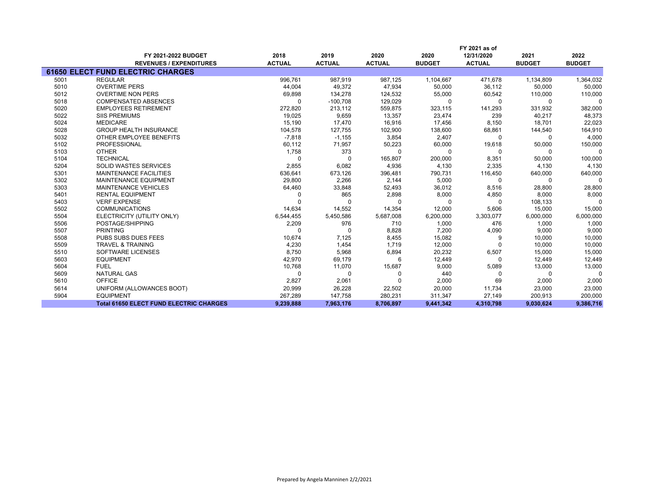|      | FY 2021 as of                                  |               |               |               |               |               |               |               |
|------|------------------------------------------------|---------------|---------------|---------------|---------------|---------------|---------------|---------------|
|      | FY 2021-2022 BUDGET                            | 2018          | 2019          | 2020          | 2020          | 12/31/2020    | 2021          | 2022          |
|      | <b>REVENUES / EXPENDITURES</b>                 | <b>ACTUAL</b> | <b>ACTUAL</b> | <b>ACTUAL</b> | <b>BUDGET</b> | <b>ACTUAL</b> | <b>BUDGET</b> | <b>BUDGET</b> |
|      | <b>61650 ELECT FUND ELECTRIC CHARGES</b>       |               |               |               |               |               |               |               |
| 5001 | <b>REGULAR</b>                                 | 996.761       | 987.919       | 987.125       | 1,104,667     | 471.678       | 1,134,809     | 1,364,032     |
| 5010 | <b>OVERTIME PERS</b>                           | 44,004        | 49,372        | 47,934        | 50,000        | 36,112        | 50,000        | 50,000        |
| 5012 | <b>OVERTIME NON PERS</b>                       | 69,898        | 134,278       | 124,532       | 55,000        | 60,542        | 110,000       | 110,000       |
| 5018 | <b>COMPENSATED ABSENCES</b>                    | $\Omega$      | $-100,708$    | 129,029       | 0             | $\Omega$      | 0             | $\Omega$      |
| 5020 | <b>EMPLOYEES RETIREMENT</b>                    | 272,820       | 213,112       | 559,875       | 323,115       | 141,293       | 331,932       | 382,000       |
| 5022 | <b>SIIS PREMIUMS</b>                           | 19,025        | 9,659         | 13,357        | 23,474        | 239           | 40,217        | 48,373        |
| 5024 | <b>MEDICARE</b>                                | 15,190        | 17,470        | 16,916        | 17,456        | 8,150         | 18,701        | 22,023        |
| 5028 | <b>GROUP HEALTH INSURANCE</b>                  | 104,578       | 127,755       | 102,900       | 138,600       | 68,861        | 144,540       | 164,910       |
| 5032 | OTHER EMPLOYEE BENEFITS                        | $-7,818$      | $-1,155$      | 3,854         | 2,407         | $\Omega$      | 0             | 4,000         |
| 5102 | PROFESSIONAL                                   | 60,112        | 71,957        | 50,223        | 60,000        | 19,618        | 50,000        | 150,000       |
| 5103 | <b>OTHER</b>                                   | 1,758         | 373           | $\Omega$      | $\mathbf 0$   | $\Omega$      | 0             | 0             |
| 5104 | <b>TECHNICAL</b>                               | $\Omega$      | $\Omega$      | 165,807       | 200,000       | 8,351         | 50,000        | 100,000       |
| 5204 | <b>SOLID WASTES SERVICES</b>                   | 2,855         | 6,082         | 4,936         | 4,130         | 2,335         | 4,130         | 4,130         |
| 5301 | <b>MAINTENANCE FACILITIES</b>                  | 636,641       | 673,126       | 396,481       | 790,731       | 116,450       | 640,000       | 640,000       |
| 5302 | <b>MAINTENANCE EQUIPMENT</b>                   | 29,800        | 2,266         | 2,144         | 5,000         | $\Omega$      | $\Omega$      | $\Omega$      |
| 5303 | <b>MAINTENANCE VEHICLES</b>                    | 64,460        | 33,848        | 52,493        | 36,012        | 8,516         | 28,800        | 28,800        |
| 5401 | <b>RENTAL EQUIPMENT</b>                        |               | 865           | 2,898         | 8,000         | 4,850         | 8,000         | 8,000         |
| 5403 | <b>VERF EXPENSE</b>                            |               | U             | $\Omega$      | U             | <sup>0</sup>  | 108,133       | $\Omega$      |
| 5502 | <b>COMMUNICATIONS</b>                          | 14,634        | 14,552        | 14,354        | 12,000        | 5,606         | 15,000        | 15,000        |
| 5504 | ELECTRICITY (UTILITY ONLY)                     | 6,544,455     | 5,450,586     | 5,687,008     | 6,200,000     | 3,303,077     | 6,000,000     | 6,000,000     |
| 5506 | POSTAGE/SHIPPING                               | 2,209         | 976           | 710           | 1,000         | 476           | 1,000         | 1,000         |
| 5507 | <b>PRINTING</b>                                | <sup>0</sup>  | <sup>0</sup>  | 8,828         | 7,200         | 4,090         | 9,000         | 9,000         |
| 5508 | PUBS SUBS DUES FEES                            | 10,674        | 7,125         | 8,455         | 15,082        | 9             | 10,000        | 10,000        |
| 5509 | <b>TRAVEL &amp; TRAINING</b>                   | 4,230         | 1,454         | 1.719         | 12,000        |               | 10,000        | 10,000        |
| 5510 | <b>SOFTWARE LICENSES</b>                       | 8,750         | 5,968         | 6,894         | 20,232        | 6,507         | 15,000        | 15,000        |
| 5603 | <b>EQUIPMENT</b>                               | 42,970        | 69,179        | 6             | 12,449        | $\Omega$      | 12,449        | 12,449        |
| 5604 | <b>FUEL</b>                                    | 10,768        | 11,070        | 15,687        | 9,000         | 5,089         | 13,000        | 13,000        |
| 5609 | <b>NATURAL GAS</b>                             | $\Omega$      | $\Omega$      |               | 440           | <sup>0</sup>  | $\Omega$      | $\Omega$      |
| 5610 | <b>OFFICE</b>                                  | 2,827         | 2,061         |               | 2,000         | 69            | 2,000         | 2,000         |
| 5614 | UNIFORM (ALLOWANCES BOOT)                      | 20,999        | 26,228        | 22,502        | 20,000        | 11,734        | 23,000        | 23,000        |
| 5904 | <b>EQUIPMENT</b>                               | 267,289       | 147,758       | 280,231       | 311,347       | 27,149        | 200,913       | 200,000       |
|      | <b>Total 61650 ELECT FUND ELECTRIC CHARGES</b> | 9,239,888     | 7,963,176     | 8,706,897     | 9,441,342     | 4,310,798     | 9,030,624     | 9,386,716     |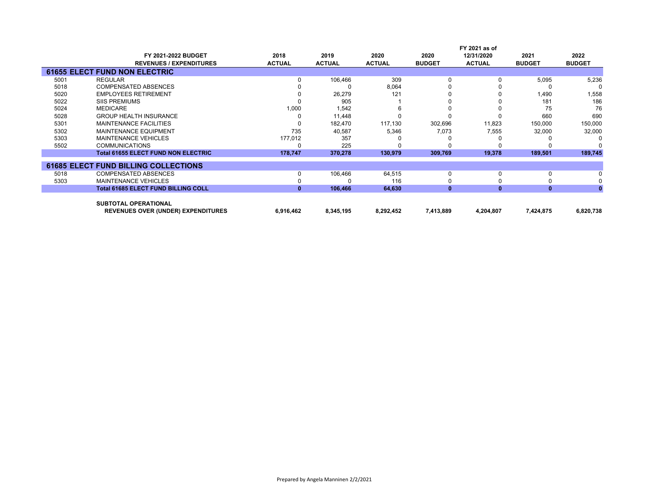|      |                                             |               |               |               |               | FY 2021 as of |               |               |
|------|---------------------------------------------|---------------|---------------|---------------|---------------|---------------|---------------|---------------|
|      | FY 2021-2022 BUDGET                         | 2018          | 2019          | 2020          | 2020          | 12/31/2020    | 2021          | 2022          |
|      | <b>REVENUES / EXPENDITURES</b>              | <b>ACTUAL</b> | <b>ACTUAL</b> | <b>ACTUAL</b> | <b>BUDGET</b> | <b>ACTUAL</b> | <b>BUDGET</b> | <b>BUDGET</b> |
|      | <b>61655 ELECT FUND NON ELECTRIC</b>        |               |               |               |               |               |               |               |
| 5001 | <b>REGULAR</b>                              |               | 106,466       | 309           | <sup>0</sup>  |               | 5,095         | 5,236         |
| 5018 | <b>COMPENSATED ABSENCES</b>                 |               |               | 8,064         |               |               |               |               |
| 5020 | <b>EMPLOYEES RETIREMENT</b>                 |               | 26,279        | 121           |               |               | 1,490         | 1,558         |
| 5022 | <b>SIIS PREMIUMS</b>                        |               | 905           |               |               |               | 181           | 186           |
| 5024 | <b>MEDICARE</b>                             | 1,000         | 1,542         |               |               |               | 75            | 76            |
| 5028 | <b>GROUP HEALTH INSURANCE</b>               |               | 11.448        |               |               |               | 660           | 690           |
| 5301 | <b>MAINTENANCE FACILITIES</b>               | 0             | 182,470       | 117,130       | 302,696       | 11,823        | 150,000       | 150,000       |
| 5302 | <b>MAINTENANCE EQUIPMENT</b>                | 735           | 40,587        | 5,346         | 7,073         | 7,555         | 32,000        | 32,000        |
| 5303 | <b>MAINTENANCE VEHICLES</b>                 | 177,012       | 357           |               |               |               |               |               |
| 5502 | <b>COMMUNICATIONS</b>                       |               | 225           |               |               |               |               |               |
|      | <b>Total 61655 ELECT FUND NON ELECTRIC</b>  | 178,747       | 370,278       | 130,979       | 309,769       | 19,378        | 189,501       | 189,745       |
|      | <b>61685 ELECT FUND BILLING COLLECTIONS</b> |               |               |               |               |               |               |               |
| 5018 | <b>COMPENSATED ABSENCES</b>                 | 0             | 106,466       | 64,515        | 0             |               | $\Omega$      |               |
| 5303 | <b>MAINTENANCE VEHICLES</b>                 |               |               | 116           |               |               |               |               |
|      | <b>Total 61685 ELECT FUND BILLING COLL</b>  | $\mathbf{0}$  | 106,466       | 64,630        | $\mathbf{0}$  | $\bf{0}$      | $\mathbf{0}$  |               |
|      | <b>SUBTOTAL OPERATIONAL</b>                 |               |               |               |               |               |               |               |
|      | <b>REVENUES OVER (UNDER) EXPENDITURES</b>   | 6,916,462     | 8,345,195     | 8,292,452     | 7,413,889     | 4,204,807     | 7,424,875     | 6,820,738     |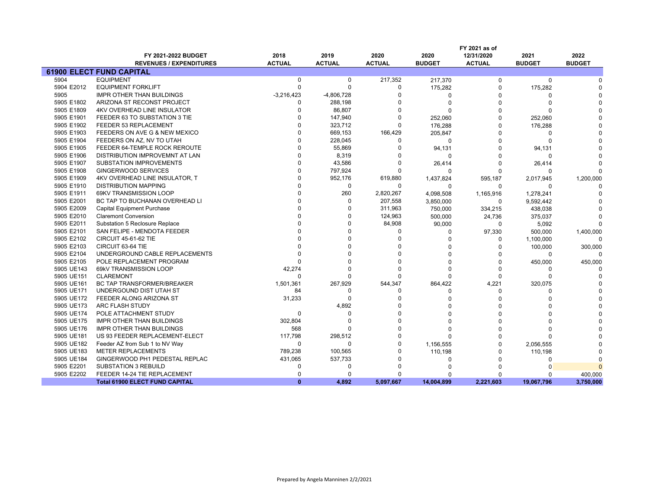|            |                                       |               |               |               |               | FY 2021 as of |               |               |
|------------|---------------------------------------|---------------|---------------|---------------|---------------|---------------|---------------|---------------|
|            | FY 2021-2022 BUDGET                   | 2018          | 2019          | 2020          | 2020          | 12/31/2020    | 2021          | 2022          |
|            | <b>REVENUES / EXPENDITURES</b>        | <b>ACTUAL</b> | <b>ACTUAL</b> | <b>ACTUAL</b> | <b>BUDGET</b> | <b>ACTUAL</b> | <b>BUDGET</b> | <b>BUDGET</b> |
|            | <b>61900 ELECT FUND CAPITAL</b>       |               |               |               |               |               |               |               |
| 5904       | <b>EQUIPMENT</b>                      | $\mathbf 0$   | $\mathbf 0$   | 217,352       | 217,370       | $\Omega$      | $\Omega$      |               |
| 5904 E2012 | <b>EQUIPMENT FORKLIFT</b>             | $\mathbf 0$   | $\Omega$      | 0             | 175,282       | 0             | 175,282       |               |
| 5905       | <b>IMPR OTHER THAN BUILDINGS</b>      | $-3,216,423$  | $-4,806,728$  | $\Omega$      | $\Omega$      | O             |               |               |
| 5905 E1802 | ARIZONA ST RECONST PROJECT            | $\Omega$      | 288,198       | O             | $\Omega$      | O             |               |               |
| 5905 E1809 | <b>4KV OVERHEAD LINE INSULATOR</b>    | $\Omega$      | 86,807        | $\Omega$      | $\Omega$      | $\Omega$      |               |               |
| 5905 E1901 | FEEDER 63 TO SUBSTATION 3 TIE         |               | 147,940       | $\Omega$      | 252,060       | $\Omega$      | 252,060       |               |
| 5905 E1902 | FEEDER 53 REPLACEMENT                 | $\Omega$      | 323,712       | $\Omega$      | 176,288       | $\Omega$      | 176,288       |               |
| 5905 E1903 | FEEDERS ON AVE G & NEW MEXICO         | $\Omega$      | 669,153       | 166,429       | 205,847       | $\Omega$      | $\Omega$      |               |
| 5905 E1904 | FEEDERS ON AZ, NV TO UTAH             | $\Omega$      | 228,045       | 0             | $\mathbf 0$   | $\Omega$      | $\Omega$      |               |
| 5905 E1905 | FEEDER 64-TEMPLE ROCK REROUTE         | $\Omega$      | 55,869        | O             | 94,131        | $\Omega$      | 94,131        |               |
| 5905 E1906 | DISTRIBUTION IMPROVEMNT AT LAN        | $\Omega$      | 8,319         | 0             | 0             | $\Omega$      | $\Omega$      |               |
| 5905 E1907 | <b>SUBSTATION IMPROVEMENTS</b>        | $\Omega$      | 43,586        | 0             | 26,414        | O             | 26,414        |               |
| 5905 E1908 | <b>GINGERWOOD SERVICES</b>            | $\Omega$      | 797,924       | $\Omega$      | $\Omega$      | ŋ             | $\Omega$      |               |
| 5905 E1909 | 4KV OVERHEAD LINE INSULATOR, T        | $\Omega$      | 952,176       | 619,880       | 1,437,824     | 595,187       | 2,017,945     | 1,200,000     |
| 5905 E1910 | <b>DISTRIBUTION MAPPING</b>           | $\Omega$      | $\Omega$      | $\Omega$      | $\Omega$      | $\Omega$      | $\Omega$      |               |
| 5905 E1911 | 69KV TRANSMISSION LOOP                | $\Omega$      | 260           | 2,820,267     | 4,098,508     | 1,165,916     | 1,278,241     |               |
| 5905 E2001 | BC TAP TO BUCHANAN OVERHEAD LI        | $\Omega$      | $\Omega$      | 207,558       | 3,850,000     | 0             | 9,592,442     |               |
| 5905 E2009 | <b>Capital Equipment Purchase</b>     |               | $\Omega$      | 311,963       | 750,000       | 334,215       | 438,038       |               |
| 5905 E2010 | <b>Claremont Conversion</b>           |               |               | 124,963       | 500,000       | 24,736        | 375,037       |               |
| 5905 E2011 | Substation 5 Reclosure Replace        |               |               | 84,908        | 90,000        | 0             | 5,092         |               |
| 5905 E2101 | SAN FELIPE - MENDOTA FEEDER           |               |               | 0             | 0             | 97,330        | 500,000       | 1,400,000     |
| 5905 E2102 | <b>CIRCUIT 45-61-62 TIE</b>           |               |               | $\Omega$      | ŋ             | O             | 1,100,000     |               |
| 5905 E2103 | CIRCUIT 63-64 TIE                     |               |               |               |               | $\Omega$      | 100,000       | 300,000       |
| 5905 E2104 | UNDERGROUND CABLE REPLACEMENTS        |               |               |               |               | O             | $\Omega$      |               |
| 5905 E2105 | POLE REPLACEMENT PROGRAM              |               |               | $\Omega$      |               | $\Omega$      | 450,000       | 450,000       |
| 5905 UE143 | 69kV TRANSMISSION LOOP                | 42,274        |               | $\Omega$      |               | $\Omega$      |               |               |
| 5905 UE151 | <b>CLAREMONT</b>                      | $\Omega$      |               | $\Omega$      |               | $\Omega$      | $\Omega$      |               |
| 5905 UE161 | BC TAP TRANSFORMER/BREAKER            | 1,501,361     | 267,929       | 544,347       | 864,422       | 4,221         | 320,075       |               |
| 5905 UE171 | UNDERGOUND DIST UTAH ST               | 84            | $\Omega$      | 0             | $\Omega$      | $\Omega$      | $\Omega$      |               |
| 5905 UE172 | FEEDER ALONG ARIZONA ST               | 31,233        | $\Omega$      | $\Omega$      |               | O             |               |               |
| 5905 UE173 | ARC FLASH STUDY                       |               | 4,892         | U             |               | ŋ             |               |               |
| 5905 UE174 | POLE ATTACHMENT STUDY                 | $\mathbf 0$   | $\Omega$      | $\Omega$      |               |               |               |               |
| 5905 UE175 | IMPR OTHER THAN BUILDINGS             | 302,804       | $\Omega$      | $\Omega$      |               | O             |               |               |
| 5905 UE176 | IMPR OTHER THAN BUILDINGS             | 568           |               | $\Omega$      | ŋ             | ŋ             |               |               |
| 5905 UE181 | US 93 FEEDER REPLACEMENT-ELECT        | 117,798       | 298,512       | $\Omega$      | $\Omega$      | $\Omega$      |               |               |
| 5905 UE182 | Feeder AZ from Sub 1 to NV Way        | 0             | $\Omega$      | $\Omega$      | 1,156,555     | $\Omega$      | 2,056,555     |               |
| 5905 UE183 | <b>METER REPLACEMENTS</b>             | 789,238       | 100,565       | O             | 110,198       | O             | 110,198       |               |
| 5905 UE184 | GINGERWOOD PH1 PEDESTAL REPLAC        | 431,065       | 537,733       | 0             | $\Omega$      | $\Omega$      | $\Omega$      |               |
| 5905 E2201 | <b>SUBSTATION 3 REBUILD</b>           | $\Omega$      | $\Omega$      | 0             |               | O             |               |               |
| 5905 E2202 | FEEDER 14-24 TIE REPLACEMENT          | $\Omega$      | n             | $\Omega$      | n             | ŋ             |               | 400,000       |
|            | <b>Total 61900 ELECT FUND CAPITAL</b> | $\mathbf{0}$  | 4,892         | 5,097,667     | 14,004,899    | 2,221,603     | 19,067,796    | 3,750,000     |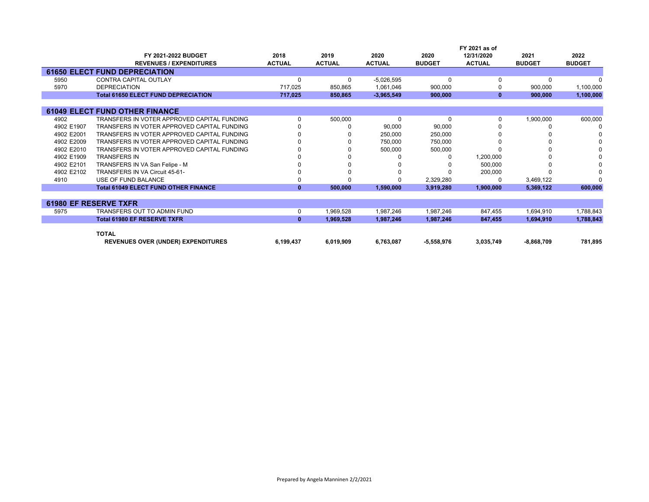|            |                                             |               |               |               |               | FY 2021 as of |               |               |
|------------|---------------------------------------------|---------------|---------------|---------------|---------------|---------------|---------------|---------------|
|            | FY 2021-2022 BUDGET                         | 2018          | 2019          | 2020          | 2020          | 12/31/2020    | 2021          | 2022          |
|            | <b>REVENUES / EXPENDITURES</b>              | <b>ACTUAL</b> | <b>ACTUAL</b> | <b>ACTUAL</b> | <b>BUDGET</b> | <b>ACTUAL</b> | <b>BUDGET</b> | <b>BUDGET</b> |
|            | <b>61650 ELECT FUND DEPRECIATION</b>        |               |               |               |               |               |               |               |
| 5950       | CONTRA CAPITAL OUTLAY                       |               | $\Omega$      | $-5,026,595$  | $\Omega$      |               | $\Omega$      |               |
| 5970       | <b>DEPRECIATION</b>                         | 717,025       | 850,865       | 1,061,046     | 900,000       |               | 900,000       | 1,100,000     |
|            | <b>Total 61650 ELECT FUND DEPRECIATION</b>  | 717,025       | 850,865       | $-3,965,549$  | 900,000       | $\bf{0}$      | 900.000       | 1,100,000     |
|            |                                             |               |               |               |               |               |               |               |
|            | <b>61049 ELECT FUND OTHER FINANCE</b>       |               |               |               |               |               |               |               |
| 4902       | TRANSFERS IN VOTER APPROVED CAPITAL FUNDING |               | 500,000       | 0             | 0             |               | 1,900,000     | 600,000       |
| 4902 E1907 | TRANSFERS IN VOTER APPROVED CAPITAL FUNDING |               |               | 90,000        | 90,000        |               |               |               |
| 4902 E2001 | TRANSFERS IN VOTER APPROVED CAPITAL FUNDING |               |               | 250,000       | 250,000       |               |               |               |
| 4902 E2009 | TRANSFERS IN VOTER APPROVED CAPITAL FUNDING |               |               | 750,000       | 750,000       |               |               |               |
| 4902 E2010 | TRANSFERS IN VOTER APPROVED CAPITAL FUNDING |               |               | 500,000       | 500,000       |               |               |               |
| 4902 E1909 | <b>TRANSFERS IN</b>                         |               |               |               |               | 1,200,000     |               |               |
| 4902 E2101 | TRANSFERS IN VA San Felipe - M              |               |               |               |               | 500,000       |               |               |
| 4902 E2102 | TRANSFERS IN VA Circuit 45-61-              |               |               |               |               | 200,000       |               |               |
| 4910       | USE OF FUND BALANCE                         |               |               |               | 2,329,280     |               | 3,469,122     | n             |
|            | <b>Total 61049 ELECT FUND OTHER FINANCE</b> | $\mathbf{0}$  | 500,000       | 1,590,000     | 3,919,280     | 1,900,000     | 5,369,122     | 600,000       |
|            |                                             |               |               |               |               |               |               |               |
|            | <b>61980 EF RESERVE TXFR</b>                |               |               |               |               |               |               |               |
| 5975       | TRANSFERS OUT TO ADMIN FUND                 | 0             | 1,969,528     | 1,987,246     | 1,987,246     | 847,455       | 1,694,910     | 1,788,843     |
|            | <b>Total 61980 EF RESERVE TXFR</b>          | $\mathbf{0}$  | 1,969,528     | 1,987,246     | 1,987,246     | 847,455       | 1,694,910     | 1,788,843     |
|            | <b>TOTAL</b>                                |               |               |               |               |               |               |               |
|            |                                             |               | 6,019,909     | 6,763,087     |               | 3,035,749     | $-8,868,709$  |               |
|            | <b>REVENUES OVER (UNDER) EXPENDITURES</b>   | 6,199,437     |               |               | $-5,558,976$  |               |               | 781,895       |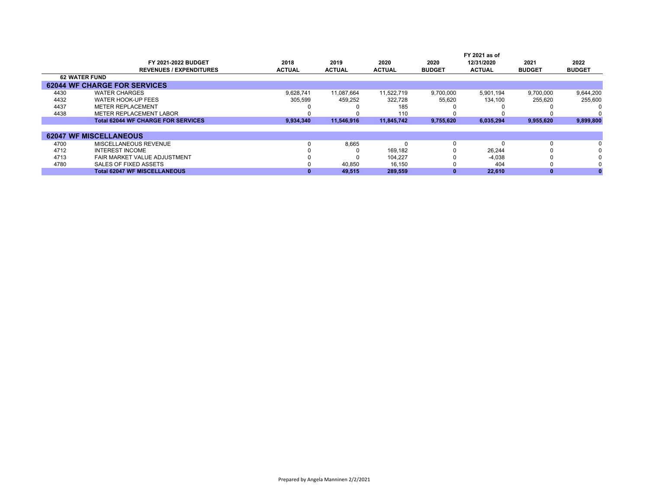|      | FY 2021-2022 BUDGET<br><b>REVENUES / EXPENDITURES</b> | 2018<br><b>ACTUAL</b> | 2019<br><b>ACTUAL</b> | 2020<br><b>ACTUAL</b> | 2020<br><b>BUDGET</b> | FY 2021 as of<br>12/31/2020<br><b>ACTUAL</b> | 2021<br><b>BUDGET</b> | 2022<br><b>BUDGET</b> |
|------|-------------------------------------------------------|-----------------------|-----------------------|-----------------------|-----------------------|----------------------------------------------|-----------------------|-----------------------|
|      | <b>62 WATER FUND</b>                                  |                       |                       |                       |                       |                                              |                       |                       |
|      | <b>62044 WF CHARGE FOR SERVICES</b>                   |                       |                       |                       |                       |                                              |                       |                       |
| 4430 | <b>WATER CHARGES</b>                                  | 9.628.741             | 11.087.664            | 11.522.719            | 9,700,000             | 5.901.194                                    | 9.700.000             | 9,644,200             |
| 4432 | <b>WATER HOOK-UP FEES</b>                             | 305,599               | 459,252               | 322,728               | 55,620                | 134.100                                      | 255,620               | 255,600               |
| 4437 | <b>METER REPLACEMENT</b>                              |                       |                       | 185                   |                       |                                              |                       |                       |
| 4438 | METER REPLACEMENT LABOR                               |                       |                       | 110                   |                       |                                              |                       |                       |
|      | <b>Total 62044 WF CHARGE FOR SERVICES</b>             | 9,934,340             | 11.546.916            | 11.845.742            | 9,755,620             | 6,035,294                                    | 9,955,620             | 9,899,800             |
|      |                                                       |                       |                       |                       |                       |                                              |                       |                       |
|      | <b>62047 WF MISCELLANEOUS</b>                         |                       |                       |                       |                       |                                              |                       |                       |
| 4700 | MISCELLANEOUS REVENUE                                 |                       | 8,665                 |                       | 0                     |                                              |                       | $\Omega$              |
| 4712 | <b>INTEREST INCOME</b>                                |                       |                       | 169.182               |                       | 26.244                                       |                       | $\Omega$              |
| 4713 | FAIR MARKET VALUE ADJUSTMENT                          |                       |                       | 104,227               |                       | $-4,038$                                     |                       |                       |
| 4780 | SALES OF FIXED ASSETS                                 |                       | 40.850                | 16.150                |                       | 404                                          |                       | $\Omega$              |
|      | <b>Total 62047 WF MISCELLANEOUS</b>                   |                       | 49,515                | 289,559               |                       | 22,610                                       |                       |                       |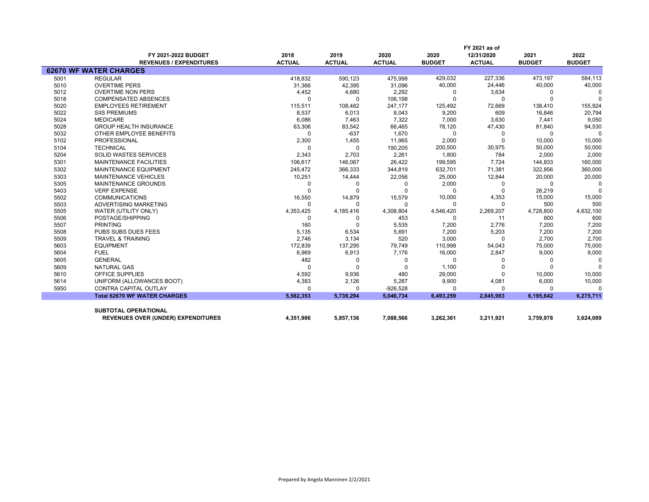|      |                                           | FY 2021 as of |               |               |               |               |               |               |  |
|------|-------------------------------------------|---------------|---------------|---------------|---------------|---------------|---------------|---------------|--|
|      | FY 2021-2022 BUDGET                       | 2018          | 2019          | 2020          | 2020          | 12/31/2020    | 2021          | 2022          |  |
|      | <b>REVENUES / EXPENDITURES</b>            | <b>ACTUAL</b> | <b>ACTUAL</b> | <b>ACTUAL</b> | <b>BUDGET</b> | <b>ACTUAL</b> | <b>BUDGET</b> | <b>BUDGET</b> |  |
|      | <b>62670 WF WATER CHARGES</b>             |               |               |               |               |               |               |               |  |
| 5001 | <b>REGULAR</b>                            | 418,832       | 590,123       | 475,998       | 429,032       | 227,336       | 473,197       | 584,113       |  |
| 5010 | <b>OVERTIME PERS</b>                      | 31,366        | 42,395        | 31,096        | 40,000        | 24,446        | 40,000        | 40,000        |  |
| 5012 | <b>OVERTIME NON PERS</b>                  | 4,452         | 4,680         | 2,292         | 0             | 3,634         |               |               |  |
| 5018 | <b>COMPENSATED ABSENCES</b>               | $\Omega$      | $\Omega$      | 106,198       | $\Omega$      | $\Omega$      |               | $\Omega$      |  |
| 5020 | <b>EMPLOYEES RETIREMENT</b>               | 115,511       | 108,482       | 247,177       | 125,492       | 72,669        | 138,410       | 155,924       |  |
| 5022 | <b>SIIS PREMIUMS</b>                      | 8,537         | 6,013         | 8,043         | 9,200         | 609           | 16,846        | 20,794        |  |
| 5024 | <b>MEDICARE</b>                           | 6,086         | 7,463         | 7,322         | 7,000         | 3,630         | 7,441         | 9,050         |  |
| 5028 | <b>GROUP HEALTH INSURANCE</b>             | 63,306        | 83,542        | 66,465        | 78,120        | 47,430        | 81,840        | 94,530        |  |
| 5032 | OTHER EMPLOYEE BENEFITS                   | $\Omega$      | $-637$        | 1,670         | $\Omega$      | 0             |               | $\Omega$      |  |
| 5102 | <b>PROFESSIONAL</b>                       | 2,300         | 1,455         | 11,965        | 2,000         | $\Omega$      | 10,000        | 10,000        |  |
| 5104 | <b>TECHNICAL</b>                          | $\Omega$      | $\Omega$      | 190,205       | 200,500       | 30,975        | 50,000        | 50,000        |  |
| 5204 | <b>SOLID WASTES SERVICES</b>              | 2,343         | 2,703         | 2,261         | 1.800         | 784           | 2,000         | 2,000         |  |
| 5301 | <b>MAINTENANCE FACILITIES</b>             | 106.617       | 146,067       | 26,422        | 199,595       | 7,724         | 144,833       | 160,000       |  |
| 5302 | <b>MAINTENANCE EQUIPMENT</b>              | 245,472       | 366,333       | 344,819       | 632,701       | 71,381        | 322,856       | 360,000       |  |
| 5303 | <b>MAINTENANCE VEHICLES</b>               | 10,251        | 14,444        | 22,056        | 25,000        | 12,844        | 20,000        | 20,000        |  |
| 5305 | MAINTENANCE GROUNDS                       | $\Omega$      | 0             | $\Omega$      | 2,000         | 0             |               | <sup>0</sup>  |  |
| 5403 | <b>VERF EXPENSE</b>                       | $\Omega$      | $\Omega$      |               | $\Omega$      | $\Omega$      | 26,219        | $\Omega$      |  |
| 5502 | <b>COMMUNICATIONS</b>                     | 16,550        | 14,879        | 15,579        | 10,000        | 4,353         | 15,000        | 15,000        |  |
| 5503 | ADVERTISING MARKETING                     | $\Omega$      | $\Omega$      | $\Omega$      | $\Omega$      | $\Omega$      | 500           | 500           |  |
| 5505 | WATER (UTILITY ONLY)                      | 4,353,425     | 4,185,416     | 4,308,804     | 4,546,420     | 2,269,207     | 4,728,800     | 4,632,100     |  |
| 5506 | POSTAGE/SHIPPING                          | $\Omega$      | <sup>0</sup>  | 453           | $\Omega$      | 11            | 600           | 600           |  |
| 5507 | <b>PRINTING</b>                           | 160           | $\Omega$      | 5,535         | 7,200         | 2,776         | 7,200         | 7,200         |  |
| 5508 | PUBS SUBS DUES FEES                       | 5,135         | 6,534         | 5,691         | 7,200         | 5,203         | 7,200         | 7,200         |  |
| 5509 | <b>TRAVEL &amp; TRAINING</b>              | 2,746         | 3,134         | 520           | 3,000         | $\Omega$      | 2,700         | 2,700         |  |
| 5603 | <b>EQUIPMENT</b>                          | 172,839       | 137,295       | 79,749        | 110,998       | 54,043        | 75,000        | 75,000        |  |
| 5604 | <b>FUEL</b>                               | 6,969         | 6,913         | 7,176         | 16,000        | 2,847         | 9,000         | 9,000         |  |
| 5605 | <b>GENERAL</b>                            | 482           | 0             | O             | 0             | O             | <sup>0</sup>  | $\Omega$      |  |
| 5609 | <b>NATURAL GAS</b>                        | $\Omega$      | $\Omega$      |               | 1,100         |               |               | $\Omega$      |  |
| 5610 | <b>OFFICE SUPPLIES</b>                    | 4,592         | 9,936         | 480           | 29,000        | $\Omega$      | 10,000        | 10,000        |  |
| 5614 | UNIFORM (ALLOWANCES BOOT)                 | 4,383         | 2,126         | 5,287         | 9,900         | 4,081         | 6,000         | 10,000        |  |
| 5950 | <b>CONTRA CAPITAL OUTLAY</b>              | $\Omega$      | $\Omega$      | $-926,528$    | $\Omega$      | O             |               | $\Omega$      |  |
|      | <b>Total 62670 WF WATER CHARGES</b>       | 5,582,353     | 5,739,294     | 5,046,734     | 6,493,259     | 2,845,983     | 6,195,642     | 6,275,711     |  |
|      |                                           |               |               |               |               |               |               |               |  |
|      | <b>SUBTOTAL OPERATIONAL</b>               |               |               |               |               |               |               |               |  |
|      | <b>REVENUES OVER (UNDER) EXPENDITURES</b> | 4,351,986     | 5,857,136     | 7,088,566     | 3,262,361     | 3,211,921     | 3,759,978     | 3,624,089     |  |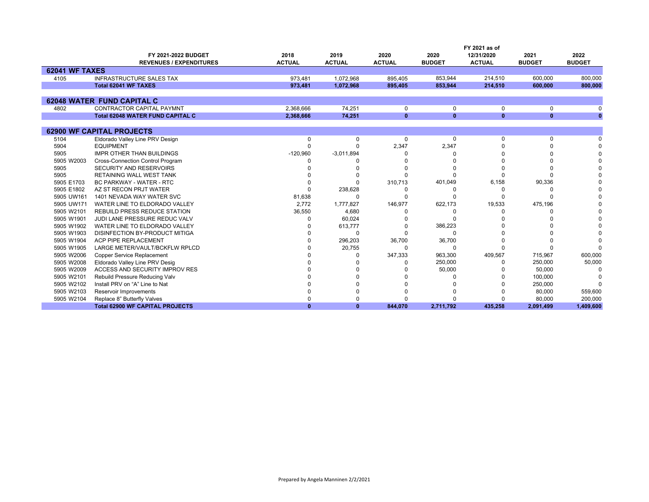|                       |                                         |               |               |               |               | FY 2021 as of |               |               |
|-----------------------|-----------------------------------------|---------------|---------------|---------------|---------------|---------------|---------------|---------------|
|                       | FY 2021-2022 BUDGET                     | 2018          | 2019          | 2020          | 2020          | 12/31/2020    | 2021          | 2022          |
|                       | <b>REVENUES / EXPENDITURES</b>          | <b>ACTUAL</b> | <b>ACTUAL</b> | <b>ACTUAL</b> | <b>BUDGET</b> | <b>ACTUAL</b> | <b>BUDGET</b> | <b>BUDGET</b> |
| <b>62041 WF TAXES</b> |                                         |               |               |               |               |               |               |               |
| 4105                  | <b>INFRASTRUCTURE SALES TAX</b>         | 973.481       | 1.072.968     | 895.405       | 853.944       | 214.510       | 600.000       | 800,000       |
|                       | Total 62041 WF TAXES                    | 973.481       | 1.072.968     | 895.405       | 853.944       | 214.510       | 600.000       | 800.000       |
|                       |                                         |               |               |               |               |               |               |               |
|                       | <b>62048 WATER FUND CAPITAL C</b>       |               |               |               |               |               |               |               |
| 4802                  | <b>CONTRACTOR CAPITAL PAYMNT</b>        | 2,368,666     | 74,251        | 0             | 0             | 0             | 0             |               |
|                       | <b>Total 62048 WATER FUND CAPITAL C</b> | 2,368,666     | 74,251        | $\mathbf{0}$  | $\mathbf{0}$  | $\mathbf{0}$  | $\mathbf{0}$  | $\bf{0}$      |
|                       |                                         |               |               |               |               |               |               |               |
|                       | <b>62900 WF CAPITAL PROJECTS</b>        |               |               |               |               |               |               |               |
| 5104                  | Eldorado Valley Line PRV Design         | $\Omega$      | $\Omega$      | $\Omega$      | $\Omega$      | $\Omega$      | $\Omega$      |               |
| 5904                  | <b>EQUIPMENT</b>                        | 0             |               | 2,347         | 2,347         |               |               |               |
| 5905                  | <b>IMPR OTHER THAN BUILDINGS</b>        | $-120,960$    | $-3,011,894$  |               |               |               |               |               |
| 5905 W2003            | Cross-Connection Control Program        |               |               |               |               |               |               |               |
| 5905                  | SECURITY AND RESERVOIRS                 |               |               |               |               |               |               |               |
| 5905                  | RETAINING WALL WEST TANK                |               |               |               |               |               |               |               |
| 5905 E1703            | <b>BC PARKWAY - WATER - RTC</b>         |               |               | 310,713       | 401,049       | 6,158         | 90,336        |               |
| 5905 E1802            | AZ ST RECON PRJT WATER                  |               | 238,628       |               |               |               |               |               |
| 5905 UW161            | 1401 NEVADA WAY WATER SVC               | 81,638        |               |               |               |               |               |               |
| 5905 UW171            | WATER LINE TO ELDORADO VALLEY           | 2.772         | 1,777,827     | 146,977       | 622,173       | 19,533        | 475,196       |               |
| 5905 W2101            | <b>REBUILD PRESS REDUCE STATION</b>     | 36,550        | 4,680         |               |               |               |               |               |
| 5905 W1901            | JUDI LANE PRESSURE REDUC VALV           | ŋ             | 60,024        |               | O             |               |               |               |
| 5905 W1902            | WATER LINE TO ELDORADO VALLEY           |               | 613,777       |               | 386,223       |               |               |               |
| 5905 W1903            | DISINFECTION BY-PRODUCT MITIGA          |               | ∩             |               | $\Omega$      |               |               |               |
| 5905 W1904            | ACP PIPE REPLACEMENT                    |               | 296,203       | 36,700        | 36,700        |               |               |               |
| 5905 W1905            | LARGE METER/VAULT/BCKFLW RPLCD          |               | 20,755        | ŋ             | O             | U             |               |               |
| 5905 W2006            | <b>Copper Service Replacement</b>       |               |               | 347,333       | 963,300       | 409,567       | 715,967       | 600,000       |
| 5905 W2008            | Eldorado Valley Line PRV Desig          |               |               |               | 250,000       | <sup>0</sup>  | 250,000       | 50,000        |
| 5905 W2009            | <b>ACCESS AND SECURITY IMPROV RES</b>   |               |               |               | 50,000        |               | 50,000        | <sup>0</sup>  |
| 5905 W2101            | Rebuild Pressure Reducing Valv          |               |               |               |               |               | 100,000       |               |
| 5905 W2102            | Install PRV on "A" Line to Nat          |               |               |               |               |               | 250,000       |               |
| 5905 W2103            | Reservoir Improvements                  |               |               |               |               |               | 80,000        | 559,600       |
| 5905 W2104            | Replace 8" Butterfly Valves             |               |               |               |               |               | 80,000        | 200,000       |
|                       | <b>Total 62900 WF CAPITAL PROJECTS</b>  | $\bf{0}$      | $\mathbf{0}$  | 844,070       | 2,711,792     | 435.258       | 2,091,499     | 1,409,600     |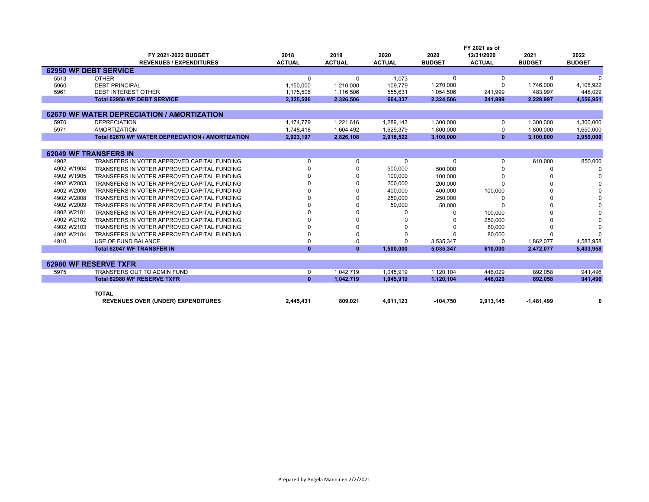|            |                                                  |               |               |               |               | FY 2021 as of |               |               |
|------------|--------------------------------------------------|---------------|---------------|---------------|---------------|---------------|---------------|---------------|
|            | FY 2021-2022 BUDGET                              | 2018          | 2019          | 2020          | 2020          | 12/31/2020    | 2021          | 2022          |
|            | <b>REVENUES / EXPENDITURES</b>                   | <b>ACTUAL</b> | <b>ACTUAL</b> | <b>ACTUAL</b> | <b>BUDGET</b> | <b>ACTUAL</b> | <b>BUDGET</b> | <b>BUDGET</b> |
|            | <b>62950 WF DEBT SERVICE</b>                     |               |               |               |               |               |               |               |
| 5513       | <b>OTHER</b>                                     | $\Omega$      | 0             | $-1.073$      | 0             | 0             | 0             |               |
| 5960       | <b>DEBT PRINCIPAL</b>                            | 1,150,000     | 1,210,000     | 109,779       | 1,270,000     | $\Omega$      | 1,746,000     | 4,108,922     |
| 5961       | <b>DEBT INTEREST OTHER</b>                       | 1,175,506     | 1,116,506     | 555,631       | 1,054,506     | 241,999       | 483.997       | 448,029       |
|            | <b>Total 62950 WF DEBT SERVICE</b>               | 2,325,506     | 2,326,506     | 664,337       | 2,324,506     | 241,999       | 2,229,997     | 4,556,951     |
|            |                                                  |               |               |               |               |               |               |               |
|            | 62670 WF WATER DEPRECIATION / AMORTIZATION       |               |               |               |               |               |               |               |
| 5970       | <b>DEPRECIATION</b>                              | 1,174,779     | 1,221,616     | 1,289,143     | 1,300,000     | $\Omega$      | 1,300,000     | 1,300,000     |
| 5971       | <b>AMORTIZATION</b>                              | 1,748,418     | 1,604,492     | 1,629,379     | 1,800,000     | 0             | 1,800,000     | 1,650,000     |
|            | Total 62670 WF WATER DEPRECIATION / AMORTIZATION | 2,923,197     | 2,826,108     | 2,918,522     | 3,100,000     | $\mathbf{0}$  | 3.100.000     | 2,950,000     |
|            |                                                  |               |               |               |               |               |               |               |
|            | <b>62049 WF TRANSFERS IN</b>                     |               |               |               |               |               |               |               |
| 4902       | TRANSFERS IN VOTER APPROVED CAPITAL FUNDING      | $\Omega$      | $\Omega$      | 0             | $\Omega$      | $\Omega$      | 610.000       | 850,000       |
| 4902 W1904 | TRANSFERS IN VOTER APPROVED CAPITAL FUNDING      |               | $\Omega$      | 500,000       | 500,000       |               |               |               |
| 4902 W1905 | TRANSFERS IN VOTER APPROVED CAPITAL FUNDING      |               | $\Omega$      | 100,000       | 100,000       |               |               |               |
| 4902 W2003 | TRANSFERS IN VOTER APPROVED CAPITAL FUNDING      |               | $\Omega$      | 200,000       | 200,000       |               |               |               |
| 4902 W2006 | TRANSFERS IN VOTER APPROVED CAPITAL FUNDING      |               |               | 400,000       | 400,000       | 100,000       |               |               |
| 4902 W2008 | TRANSFERS IN VOTER APPROVED CAPITAL FUNDING      |               | <sup>0</sup>  | 250,000       | 250.000       |               |               |               |
| 4902 W2009 | TRANSFERS IN VOTER APPROVED CAPITAL FUNDING      |               | $\Omega$      | 50,000        | 50,000        |               |               |               |
| 4902 W2101 | TRANSFERS IN VOTER APPROVED CAPITAL FUNDING      |               | $\Omega$      |               |               | 100,000       |               |               |
| 4902 W2102 | TRANSFERS IN VOTER APPROVED CAPITAL FUNDING      |               |               |               |               | 250,000       |               |               |
| 4902 W2103 | TRANSFERS IN VOTER APPROVED CAPITAL FUNDING      |               |               |               |               | 80,000        |               |               |
| 4902 W2104 | TRANSFERS IN VOTER APPROVED CAPITAL FUNDING      |               | $\Omega$      |               |               | 80,000        |               |               |
| 4910       | USE OF FUND BALANCE                              |               | $\Omega$      | 0             | 3,535,347     | $\Omega$      | 1,862,077     | 4,583,958     |
|            | <b>Total 62047 WF TRANSFER IN</b>                | $\Omega$      | $\mathbf{0}$  | 1,500,000     | 5,035,347     | 610.000       | 2.472.077     | 5,433,958     |
|            |                                                  |               |               |               |               |               |               |               |
|            | 62980 WF RESERVE TXFR                            |               |               |               |               |               |               |               |
| 5975       | TRANSFERS OUT TO ADMIN FUND                      | 0             | 1.042.719     | 1,045,919     | 1,120,104     | 446.029       | 892,058       | 941,496       |
|            | <b>Total 62980 WF RESERVE TXFR</b>               | $\mathbf{0}$  | 1.042.719     | 1.045.919     | 1,120,104     | 446.029       | 892.058       | 941,496       |
|            |                                                  |               |               |               |               |               |               |               |
|            |                                                  |               |               |               |               |               |               |               |

| ТОТА∟                                                                             |         |           |            |           |               |    |
|-----------------------------------------------------------------------------------|---------|-----------|------------|-----------|---------------|----|
| <b>REVENUES OVER (UNDER) EXPENDITURES</b><br><b>AA5 43</b><br>---<br>$\mathbf{r}$ | 809,021 | 4,011,123 | $-104.750$ | 2.913.145 | . 484<br>,499 | n. |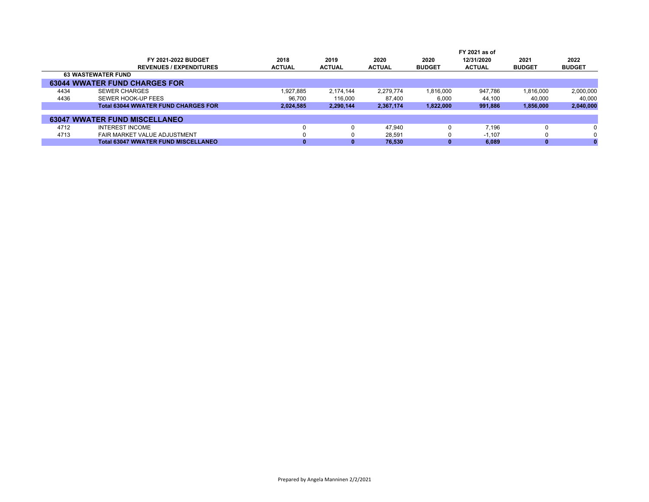|                                            |               |               |               |               | FY 2021 as of |               |               |
|--------------------------------------------|---------------|---------------|---------------|---------------|---------------|---------------|---------------|
| FY 2021-2022 BUDGET                        | 2018          | 2019          | 2020          | 2020          | 12/31/2020    | 2021          | 2022          |
| <b>REVENUES / EXPENDITURES</b>             | <b>ACTUAL</b> | <b>ACTUAL</b> | <b>ACTUAL</b> | <b>BUDGET</b> | <b>ACTUAL</b> | <b>BUDGET</b> | <b>BUDGET</b> |
| <b>63 WASTEWATER FUND</b>                  |               |               |               |               |               |               |               |
| <b>63044 WWATER FUND CHARGES FOR</b>       |               |               |               |               |               |               |               |
| 4434<br><b>SEWER CHARGES</b>               | 1,927,885     | 2.174.144     | 2.279.774     | 1,816,000     | 947.786       | 1,816,000     | 2,000,000     |
| 4436<br>SEWER HOOK-UP FEES                 | 96.700        | 116,000       | 87.400        | 6,000         | 44.100        | 40.000        | 40,000        |
| <b>Total 63044 WWATER FUND CHARGES FOR</b> | 2,024,585     | 2,290,144     | 2,367,174     | 1,822,000     | 991.886       | 1,856,000     | 2,040,000     |
|                                            |               |               |               |               |               |               |               |
| <b>63047 WWATER FUND MISCELLANEO</b>       |               |               |               |               |               |               |               |
| <b>INTEREST INCOME</b><br>4712             |               |               | 47.940        |               | 7.196         | $\Omega$      | $\Omega$      |
| 4713<br>FAIR MARKET VALUE ADJUSTMENT       |               |               | 28,591        | 0             | $-1.107$      | $\Omega$      | 0             |
| <b>Total 63047 WWATER FUND MISCELLANEO</b> |               |               | 76.530        |               | 6.089         | $\bf{0}$      |               |
|                                            |               |               |               |               |               |               |               |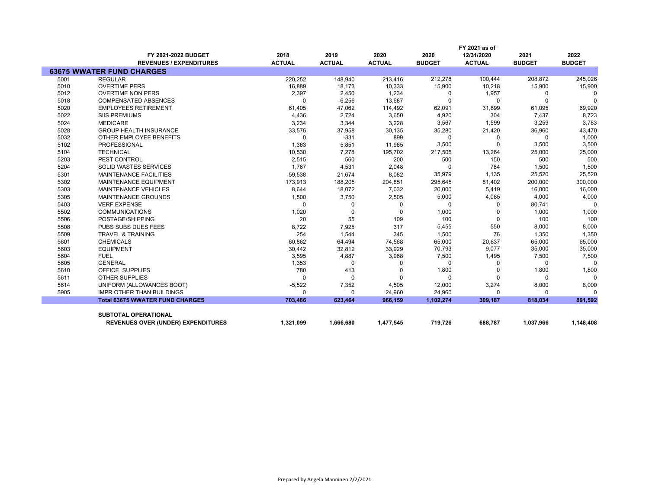|      |                                           | FY 2021 as of |               |               |               |               |               |               |  |
|------|-------------------------------------------|---------------|---------------|---------------|---------------|---------------|---------------|---------------|--|
|      | FY 2021-2022 BUDGET                       | 2018          | 2019          | 2020          | 2020          | 12/31/2020    | 2021          | 2022          |  |
|      | <b>REVENUES / EXPENDITURES</b>            | <b>ACTUAL</b> | <b>ACTUAL</b> | <b>ACTUAL</b> | <b>BUDGET</b> | <b>ACTUAL</b> | <b>BUDGET</b> | <b>BUDGET</b> |  |
|      | <b>63675 WWATER FUND CHARGES</b>          |               |               |               |               |               |               |               |  |
| 5001 | <b>REGULAR</b>                            | 220,252       | 148,940       | 213,416       | 212,278       | 100,444       | 208,872       | 245,026       |  |
| 5010 | <b>OVERTIME PERS</b>                      | 16,889        | 18,173        | 10,333        | 15,900        | 10,218        | 15,900        | 15,900        |  |
| 5012 | <b>OVERTIME NON PERS</b>                  | 2,397         | 2,450         | 1,234         | $\Omega$      | 1,957         | $\Omega$      | $\mathbf 0$   |  |
| 5018 | <b>COMPENSATED ABSENCES</b>               | $\Omega$      | $-6,256$      | 13,687        |               | $\Omega$      | $\Omega$      | $\Omega$      |  |
| 5020 | <b>EMPLOYEES RETIREMENT</b>               | 61,405        | 47,062        | 114,492       | 62,091        | 31,899        | 61,095        | 69,920        |  |
| 5022 | <b>SIIS PREMIUMS</b>                      | 4,436         | 2,724         | 3,650         | 4,920         | 304           | 7,437         | 8,723         |  |
| 5024 | <b>MEDICARE</b>                           | 3,234         | 3,344         | 3,228         | 3,567         | 1,599         | 3,259         | 3,783         |  |
| 5028 | <b>GROUP HEALTH INSURANCE</b>             | 33,576        | 37,958        | 30,135        | 35,280        | 21,420        | 36,960        | 43,470        |  |
| 5032 | OTHER EMPLOYEE BENEFITS                   | 0             | $-331$        | 899           | $\Omega$      | 0             | $\Omega$      | 1,000         |  |
| 5102 | <b>PROFESSIONAL</b>                       | 1,363         | 5,851         | 11,965        | 3,500         | $\Omega$      | 3,500         | 3,500         |  |
| 5104 | <b>TECHNICAL</b>                          | 10,530        | 7,278         | 195,702       | 217,505       | 13,264        | 25,000        | 25,000        |  |
| 5203 | PEST CONTROL                              | 2,515         | 560           | 200           | 500           | 150           | 500           | 500           |  |
| 5204 | <b>SOLID WASTES SERVICES</b>              | 1,767         | 4,531         | 2,048         | n             | 784           | 1,500         | 1,500         |  |
| 5301 | <b>MAINTENANCE FACILITIES</b>             | 59,538        | 21,674        | 8,082         | 35,979        | 1,135         | 25,520        | 25,520        |  |
| 5302 | MAINTENANCE EQUIPMENT                     | 173,913       | 188,205       | 204,851       | 295,645       | 81,402        | 200,000       | 300,000       |  |
| 5303 | <b>MAINTENANCE VEHICLES</b>               | 8,644         | 18,072        | 7,032         | 20,000        | 5,419         | 16,000        | 16,000        |  |
| 5305 | <b>MAINTENANCE GROUNDS</b>                | 1,500         | 3,750         | 2,505         | 5,000         | 4,085         | 4,000         | 4,000         |  |
| 5403 | <b>VERF EXPENSE</b>                       | 0             | $\Omega$      | 0             | $\Omega$      | $\Omega$      | 80,741        | $\Omega$      |  |
| 5502 | <b>COMMUNICATIONS</b>                     | 1,020         | $\Omega$      | $\Omega$      | 1,000         | 0             | 1,000         | 1,000         |  |
| 5506 | POSTAGE/SHIPPING                          | 20            | 55            | 109           | 100           | 0             | 100           | 100           |  |
| 5508 | PUBS SUBS DUES FEES                       | 8,722         | 7,925         | 317           | 5,455         | 550           | 8,000         | 8,000         |  |
| 5509 | <b>TRAVEL &amp; TRAINING</b>              | 254           | 1,544         | 345           | 1,500         | 76            | 1,350         | 1,350         |  |
| 5601 | <b>CHEMICALS</b>                          | 60,862        | 64,494        | 74,568        | 65,000        | 20,637        | 65,000        | 65,000        |  |
| 5603 | <b>EQUIPMENT</b>                          | 30,442        | 32,812        | 33,929        | 70,793        | 9,077         | 35,000        | 35,000        |  |
| 5604 | <b>FUEL</b>                               | 3,595         | 4,887         | 3,968         | 7,500         | 1,495         | 7,500         | 7,500         |  |
| 5605 | <b>GENERAL</b>                            | 1,353         | $\Omega$      |               | $\Omega$      | 0             | $\Omega$      | $\Omega$      |  |
| 5610 | OFFICE SUPPLIES                           | 780           | 413           |               | 1,800         | $\Omega$      | 1,800         | 1,800         |  |
| 5611 | <b>OTHER SUPPLIES</b>                     | $\Omega$      | $\Omega$      |               | $\Omega$      | $\Omega$      | $\Omega$      | $\mathbf 0$   |  |
| 5614 | UNIFORM (ALLOWANCES BOOT)                 | $-5,522$      | 7,352         | 4,505         | 12,000        | 3,274         | 8,000         | 8,000         |  |
| 5905 | <b>IMPR OTHER THAN BUILDINGS</b>          | $\Omega$      | $\Omega$      | 24,960        | 24,960        | $\Omega$      | $\Omega$      | $\Omega$      |  |
|      | <b>Total 63675 WWATER FUND CHARGES</b>    | 703,486       | 623,464       | 966,159       | 1,102,274     | 309,187       | 818,034       | 891,592       |  |
|      |                                           |               |               |               |               |               |               |               |  |
|      | <b>SUBTOTAL OPERATIONAL</b>               |               |               |               |               |               |               |               |  |
|      | <b>REVENUES OVER (UNDER) EXPENDITURES</b> | 1,321,099     | 1,666,680     | 1,477,545     | 719,726       | 688,787       | 1,037,966     | 1,148,408     |  |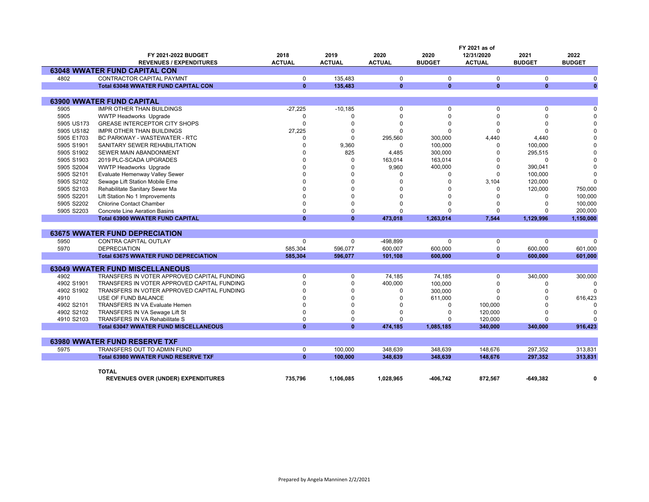|            |                                              |               |               |               |               | FY 2021 as of |               |               |
|------------|----------------------------------------------|---------------|---------------|---------------|---------------|---------------|---------------|---------------|
|            | FY 2021-2022 BUDGET                          | 2018          | 2019          | 2020          | 2020          | 12/31/2020    | 2021          | 2022          |
|            | <b>REVENUES / EXPENDITURES</b>               | <b>ACTUAL</b> | <b>ACTUAL</b> | <b>ACTUAL</b> | <b>BUDGET</b> | <b>ACTUAL</b> | <b>BUDGET</b> | <b>BUDGET</b> |
|            | <b>63048 WWATER FUND CAPITAL CON</b>         |               |               |               |               |               |               |               |
| 4802       | <b>CONTRACTOR CAPITAL PAYMNT</b>             | $\mathbf 0$   | 135.483       | $\mathbf 0$   | $\Omega$      | $\mathbf 0$   | $\Omega$      | $\Omega$      |
|            | <b>Total 63048 WWATER FUND CAPITAL CON</b>   | $\mathbf{0}$  | 135,483       | $\mathbf{0}$  | $\mathbf{0}$  | $\mathbf{0}$  | $\mathbf{0}$  | $\mathbf{0}$  |
|            |                                              |               |               |               |               |               |               |               |
|            | <b>63900 WWATER FUND CAPITAL</b>             |               |               |               |               |               |               |               |
| 5905       | <b>IMPR OTHER THAN BUILDINGS</b>             | $-27,225$     | $-10,185$     | 0             | 0             | $\mathbf 0$   | $\Omega$      | $\Omega$      |
| 5905       | <b>WWTP Headworks Upgrade</b>                | $\Omega$      | $\Omega$      | 0             | $\Omega$      | $\Omega$      | $\Omega$      | $\Omega$      |
| 5905 US173 | <b>GREASE INTERCEPTOR CITY SHOPS</b>         | $\Omega$      | $\Omega$      | $\Omega$      | $\Omega$      | $\Omega$      | $\Omega$      | $\Omega$      |
| 5905 US182 | <b>IMPR OTHER THAN BUILDINGS</b>             | 27,225        | $\Omega$      | $\Omega$      | $\Omega$      | $\Omega$      | $\Omega$      | $\Omega$      |
| 5905 E1703 | <b>BC PARKWAY - WASTEWATER - RTC</b>         | $\Omega$      | $\Omega$      | 295,560       | 300,000       | 4,440         | 4,440         | $\Omega$      |
| 5905 S1901 | SANITARY SEWER REHABILITATION                | $\Omega$      | 9,360         | 0             | 100,000       | 0             | 100,000       |               |
| 5905 S1902 | SEWER MAIN ABANDONMENT                       | n             | 825           | 4,485         | 300,000       | $\Omega$      | 295,515       |               |
| 5905 S1903 | 2019 PLC-SCADA UPGRADES                      |               | $\Omega$      | 163,014       | 163,014       | $\Omega$      | $\Omega$      | $\Omega$      |
| 5905 S2004 | <b>WWTP Headworks Upgrade</b>                |               | $\Omega$      | 9,960         | 400,000       | $\Omega$      | 390,041       | $\Omega$      |
| 5905 S2101 | Evaluate Hemenway Valley Sewer               |               | $\Omega$      | 0             | 0             | $\mathbf 0$   | 100,000       | $\Omega$      |
| 5905 S2102 | Sewage Lift Station Mobile Eme               |               | $\Omega$      |               | O             | 3.104         | 120.000       | $\Omega$      |
| 5905 S2103 | Rehabilitate Sanitary Sewer Ma               |               | $\Omega$      |               | U             | $\Omega$      | 120,000       | 750,000       |
| 5905 S2201 | Lift Station No 1 Improvements               |               | $\Omega$      |               | O             | U             | $\Omega$      | 100,000       |
| 5905 S2202 | <b>Chlorine Contact Chamber</b>              |               | $\Omega$      |               | U             |               | $\Omega$      | 100,000       |
| 5905 S2203 | <b>Concrete Line Aeration Basins</b>         | $\Omega$      | $\Omega$      | U             | $\Omega$      | $\Omega$      |               | 200,000       |
|            | <b>Total 63900 WWATER FUND CAPITAL</b>       | $\mathbf{0}$  | $\mathbf{0}$  | 473,018       | 1,263,014     | 7,544         | 1,129,996     | 1,150,000     |
|            |                                              |               |               |               |               |               |               |               |
|            | <b>63675 WWATER FUND DEPRECIATION</b>        |               |               |               |               |               |               |               |
| 5950       | CONTRA CAPITAL OUTLAY                        | 0             | $\Omega$      | -498,899      | $\Omega$      | 0             | $\Omega$      | $\Omega$      |
| 5970       | <b>DEPRECIATION</b>                          | 585,304       | 596,077       | 600,007       | 600,000       | 0             | 600,000       | 601,000       |
|            | <b>Total 63675 WWATER FUND DEPRECIATION</b>  | 585,304       | 596,077       | 101,108       | 600,000       | $\mathbf{0}$  | 600,000       | 601,000       |
|            |                                              |               |               |               |               |               |               |               |
|            | <b>63049 WWATER FUND MISCELLANEOUS</b>       |               |               |               |               |               |               |               |
| 4902       | TRANSFERS IN VOTER APPROVED CAPITAL FUNDING  | $\Omega$      | $\mathbf 0$   | 74,185        | 74,185        | $\mathbf 0$   | 340,000       | 300,000       |
| 4902 S1901 | TRANSFERS IN VOTER APPROVED CAPITAL FUNDING  | $\Omega$      | $\Omega$      | 400,000       | 100,000       | $\Omega$      | $\Omega$      | $\Omega$      |
| 4902 S1902 | TRANSFERS IN VOTER APPROVED CAPITAL FUNDING  |               | $\Omega$      | 0             | 300,000       | $\Omega$      | $\Omega$      |               |
| 4910       | USE OF FUND BALANCE                          |               | $\Omega$      | $\Omega$      | 611,000       | $\Omega$      | $\Omega$      | 616,423       |
| 4902 S2101 | <b>TRANSFERS IN VA Evaluate Hemen</b>        | $\Omega$      | $\Omega$      | 0             | $\Omega$      | 100,000       |               |               |
| 4902 S2102 | TRANSFERS IN VA Sewage Lift St               | $\Omega$      | $\Omega$      | ŋ             | $\Omega$      | 120,000       | $\Omega$      | $\Omega$      |
| 4910 S2103 | TRANSFERS IN VA Rehabilitate S               | $\Omega$      | $\Omega$      | 0             | O             | 120,000       | $\Omega$      | ŋ             |
|            | <b>Total 63047 WWATER FUND MISCELLANEOUS</b> | $\mathbf{0}$  | $\mathbf{0}$  | 474,185       | 1,085,185     | 340,000       | 340,000       | 916,423       |
|            |                                              |               |               |               |               |               |               |               |
|            | <b>63980 WWATER FUND RESERVE TXF</b>         |               |               |               |               |               |               |               |
| 5975       | TRANSFERS OUT TO ADMIN FUND                  | $\mathbf 0$   | 100,000       | 348,639       | 348,639       | 148,676       | 297,352       | 313,831       |
|            | <b>Total 63980 WWATER FUND RESERVE TXF</b>   | $\mathbf{0}$  | 100,000       | 348,639       | 348,639       | 148,676       | 297,352       | 313,831       |
|            |                                              |               |               |               |               |               |               |               |
|            | <b>TOTAL</b>                                 |               |               |               |               |               |               |               |
|            | <b>REVENUES OVER (UNDER) EXPENDITURES</b>    | 735.796       | 1.106.085     | 1.028.965     | -406.742      | 872.567       | -649.382      | 0             |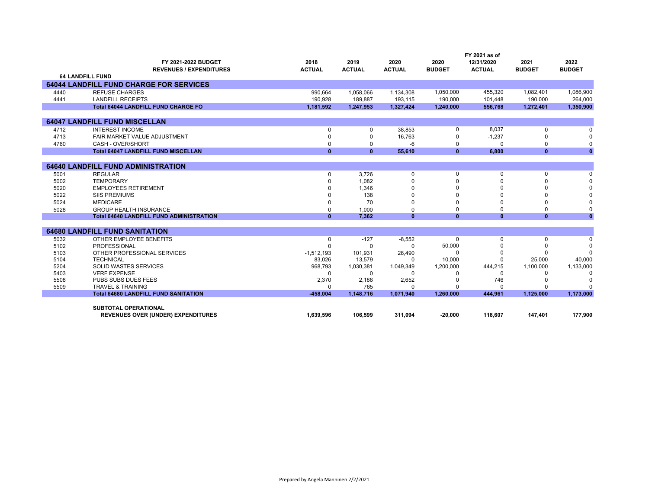|      | FY 2021-2022 BUDGET<br><b>REVENUES / EXPENDITURES</b> | 2018<br><b>ACTUAL</b>    | 2019<br><b>ACTUAL</b> | 2020<br><b>ACTUAL</b> | 2020<br><b>BUDGET</b> | FY 2021 as of<br>12/31/2020<br><b>ACTUAL</b> | 2021<br><b>BUDGET</b> | 2022<br><b>BUDGET</b> |
|------|-------------------------------------------------------|--------------------------|-----------------------|-----------------------|-----------------------|----------------------------------------------|-----------------------|-----------------------|
|      | <b>64 LANDFILL FUND</b>                               |                          |                       |                       |                       |                                              |                       |                       |
|      | <b>64044 LANDFILL FUND CHARGE FOR SERVICES</b>        |                          |                       |                       |                       |                                              |                       |                       |
| 4440 | <b>REFUSE CHARGES</b>                                 | 990.664                  | 1,058,066             | 1,134,308             | 1,050,000             | 455.320                                      | 1.082.401             | 1,086,900             |
| 4441 | <b>LANDFILL RECEIPTS</b>                              | 190.928                  | 189.887               | 193,115               | 190,000               | 101,448                                      | 190,000               | 264,000               |
|      | <b>Total 64044 LANDFILL FUND CHARGE FO</b>            | 1,181,592                | 1,247,953             | 1,327,424             | 1,240,000             | 556,768                                      | 1,272,401             | 1,350,900             |
|      |                                                       |                          |                       |                       |                       |                                              |                       |                       |
|      | <b>64047 LANDFILL FUND MISCELLAN</b>                  |                          |                       |                       |                       |                                              |                       |                       |
| 4712 | <b>INTEREST INCOME</b>                                | 0                        | 0                     | 38,853                | 0                     | 8.037                                        | 0                     |                       |
| 4713 | FAIR MARKET VALUE ADJUSTMENT                          | $\Omega$                 | $\Omega$              | 16,763                | 0                     | $-1,237$                                     | n                     |                       |
| 4760 | CASH - OVER/SHORT                                     | $\Omega$                 | $\Omega$              | $-6$                  | 0                     | $\Omega$                                     | $\Omega$              |                       |
|      | <b>Total 64047 LANDFILL FUND MISCELLAN</b>            | $\mathbf{0}$             | $\mathbf{0}$          | 55,610                | $\mathbf{0}$          | 6.800                                        | $\mathbf{0}$          | $\mathbf{0}$          |
|      |                                                       |                          |                       |                       |                       |                                              |                       |                       |
|      | <b>64640 LANDFILL FUND ADMINISTRATION</b>             |                          |                       |                       |                       |                                              |                       |                       |
| 5001 | <b>REGULAR</b>                                        | $\Omega$                 | 3.726                 | $\mathbf 0$           | 0                     | 0                                            | $\mathbf 0$           | $\Omega$              |
| 5002 | <b>TEMPORARY</b>                                      | U                        | 1.082                 |                       |                       |                                              |                       |                       |
| 5020 | <b>EMPLOYEES RETIREMENT</b>                           |                          | 1,346                 |                       |                       |                                              |                       |                       |
| 5022 | <b>SIIS PREMIUMS</b>                                  |                          | 138                   |                       |                       |                                              |                       |                       |
| 5024 | <b>MEDICARE</b><br><b>GROUP HEALTH INSURANCE</b>      | $\Omega$                 | 70                    | $\Omega$              |                       |                                              |                       |                       |
| 5028 | <b>Total 64640 LANDFILL FUND ADMINISTRATION</b>       | $\Omega$<br>$\mathbf{0}$ | 1,000<br>7.362        | 0<br>$\mathbf{0}$     | 0<br>$\mathbf{0}$     | 0<br>$\mathbf{0}$                            | 0<br>$\mathbf{0}$     | $\mathbf{0}$          |
|      |                                                       |                          |                       |                       |                       |                                              |                       |                       |
|      | <b>64680 LANDFILL FUND SANITATION</b>                 |                          |                       |                       |                       |                                              |                       |                       |
| 5032 | OTHER EMPLOYEE BENEFITS                               | 0                        | $-127$                | $-8,552$              | $\Omega$              | 0                                            | $\mathbf 0$           | $\Omega$              |
| 5102 | PROFESSIONAL                                          | $\Omega$                 | $\Omega$              | $\Omega$              | 50,000                |                                              |                       | $\Omega$              |
| 5103 | OTHER PROFESSIONAL SERVICES                           | $-1,512,193$             | 101.931               | 28,490                | $\Omega$              |                                              |                       |                       |
| 5104 | <b>TECHNICAL</b>                                      | 83,026                   | 13,579                | $\Omega$              | 10,000                |                                              | 25,000                | 40,000                |
| 5204 | <b>SOLID WASTES SERVICES</b>                          | 968,793                  | 1,030,381             | 1,049,349             | 1,200,000             | 444,215                                      | 1,100,000             | 1,133,000             |
| 5403 | <b>VERF EXPENSE</b>                                   | $\Omega$                 | $\Omega$              | $\Omega$              | $\Omega$              | $\Omega$                                     | $\Omega$              | $\Omega$              |
| 5508 | PUBS SUBS DUES FEES                                   | 2,370                    | 2,188                 | 2,652                 |                       | 746                                          |                       | $\Omega$              |
| 5509 | <b>TRAVEL &amp; TRAINING</b>                          | $\Omega$                 | 765                   | $\Omega$              |                       |                                              |                       | $\Omega$              |
|      | <b>Total 64680 LANDFILL FUND SANITATION</b>           | $-458.004$               | 1,148,716             | 1,071,940             | 1,260,000             | 444.961                                      | 1,125,000             | 1,173,000             |
|      | <b>SUBTOTAL OPERATIONAL</b>                           |                          |                       |                       |                       |                                              |                       |                       |
|      | <b>REVENUES OVER (UNDER) EXPENDITURES</b>             | 1,639,596                | 106.599               | 311.094               | $-20,000$             | 118,607                                      | 147,401               | 177,900               |